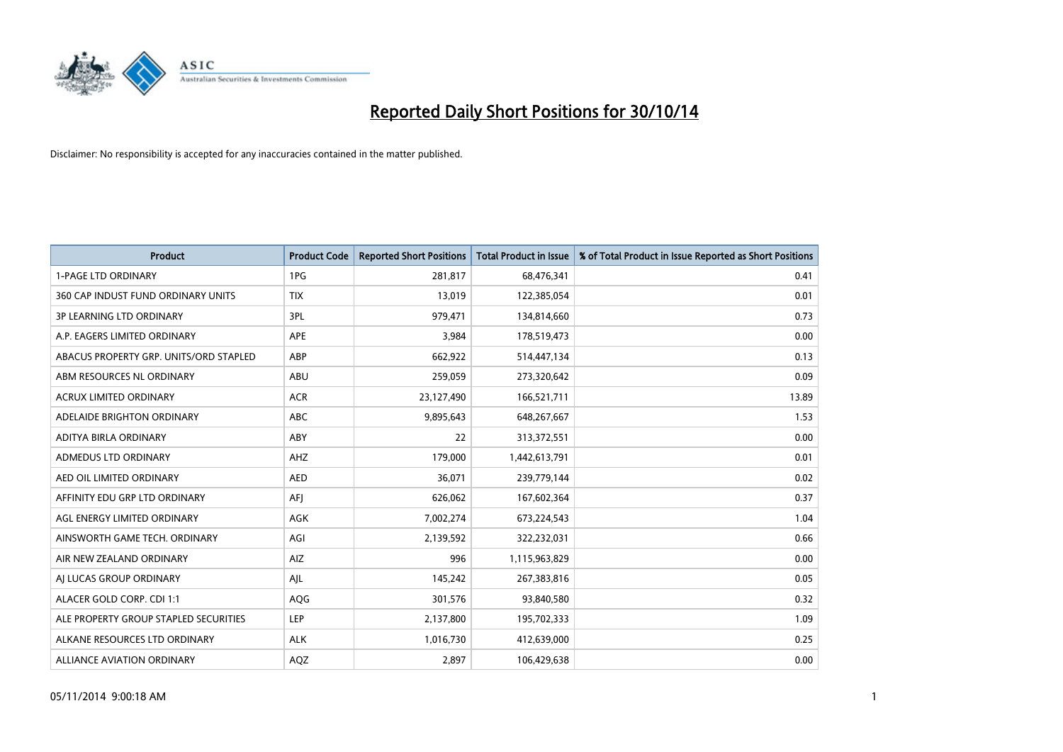

| <b>Product</b>                         | <b>Product Code</b> | <b>Reported Short Positions</b> | <b>Total Product in Issue</b> | % of Total Product in Issue Reported as Short Positions |
|----------------------------------------|---------------------|---------------------------------|-------------------------------|---------------------------------------------------------|
| <b>1-PAGE LTD ORDINARY</b>             | 1PG                 | 281,817                         | 68,476,341                    | 0.41                                                    |
| 360 CAP INDUST FUND ORDINARY UNITS     | <b>TIX</b>          | 13,019                          | 122,385,054                   | 0.01                                                    |
| <b>3P LEARNING LTD ORDINARY</b>        | 3PL                 | 979,471                         | 134,814,660                   | 0.73                                                    |
| A.P. EAGERS LIMITED ORDINARY           | <b>APE</b>          | 3,984                           | 178,519,473                   | 0.00                                                    |
| ABACUS PROPERTY GRP. UNITS/ORD STAPLED | ABP                 | 662,922                         | 514,447,134                   | 0.13                                                    |
| ABM RESOURCES NL ORDINARY              | ABU                 | 259,059                         | 273,320,642                   | 0.09                                                    |
| ACRUX LIMITED ORDINARY                 | <b>ACR</b>          | 23,127,490                      | 166,521,711                   | 13.89                                                   |
| ADELAIDE BRIGHTON ORDINARY             | <b>ABC</b>          | 9,895,643                       | 648,267,667                   | 1.53                                                    |
| ADITYA BIRLA ORDINARY                  | ABY                 | 22                              | 313,372,551                   | 0.00                                                    |
| <b>ADMEDUS LTD ORDINARY</b>            | AHZ                 | 179,000                         | 1,442,613,791                 | 0.01                                                    |
| AED OIL LIMITED ORDINARY               | <b>AED</b>          | 36,071                          | 239,779,144                   | 0.02                                                    |
| AFFINITY EDU GRP LTD ORDINARY          | AFJ                 | 626,062                         | 167,602,364                   | 0.37                                                    |
| AGL ENERGY LIMITED ORDINARY            | AGK                 | 7,002,274                       | 673,224,543                   | 1.04                                                    |
| AINSWORTH GAME TECH. ORDINARY          | AGI                 | 2,139,592                       | 322,232,031                   | 0.66                                                    |
| AIR NEW ZEALAND ORDINARY               | AIZ                 | 996                             | 1,115,963,829                 | 0.00                                                    |
| AI LUCAS GROUP ORDINARY                | AJL                 | 145,242                         | 267,383,816                   | 0.05                                                    |
| ALACER GOLD CORP. CDI 1:1              | AQG                 | 301,576                         | 93,840,580                    | 0.32                                                    |
| ALE PROPERTY GROUP STAPLED SECURITIES  | LEP                 | 2,137,800                       | 195,702,333                   | 1.09                                                    |
| ALKANE RESOURCES LTD ORDINARY          | <b>ALK</b>          | 1,016,730                       | 412,639,000                   | 0.25                                                    |
| <b>ALLIANCE AVIATION ORDINARY</b>      | AQZ                 | 2,897                           | 106,429,638                   | 0.00                                                    |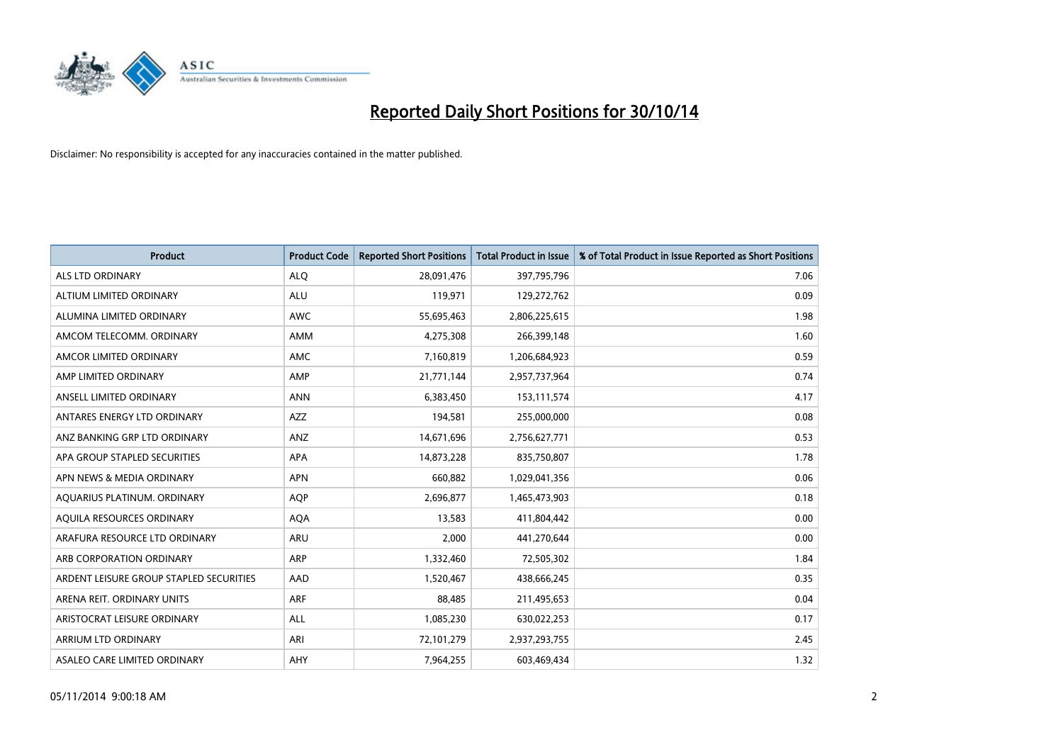

| <b>Product</b>                          | <b>Product Code</b> | <b>Reported Short Positions</b> | <b>Total Product in Issue</b> | % of Total Product in Issue Reported as Short Positions |
|-----------------------------------------|---------------------|---------------------------------|-------------------------------|---------------------------------------------------------|
| ALS LTD ORDINARY                        | <b>ALQ</b>          | 28,091,476                      | 397,795,796                   | 7.06                                                    |
| ALTIUM LIMITED ORDINARY                 | ALU                 | 119,971                         | 129,272,762                   | 0.09                                                    |
| ALUMINA LIMITED ORDINARY                | <b>AWC</b>          | 55,695,463                      | 2,806,225,615                 | 1.98                                                    |
| AMCOM TELECOMM, ORDINARY                | AMM                 | 4,275,308                       | 266,399,148                   | 1.60                                                    |
| AMCOR LIMITED ORDINARY                  | AMC                 | 7,160,819                       | 1,206,684,923                 | 0.59                                                    |
| AMP LIMITED ORDINARY                    | AMP                 | 21,771,144                      | 2,957,737,964                 | 0.74                                                    |
| ANSELL LIMITED ORDINARY                 | <b>ANN</b>          | 6,383,450                       | 153,111,574                   | 4.17                                                    |
| ANTARES ENERGY LTD ORDINARY             | AZZ                 | 194,581                         | 255,000,000                   | 0.08                                                    |
| ANZ BANKING GRP LTD ORDINARY            | ANZ                 | 14,671,696                      | 2,756,627,771                 | 0.53                                                    |
| APA GROUP STAPLED SECURITIES            | <b>APA</b>          | 14,873,228                      | 835,750,807                   | 1.78                                                    |
| APN NEWS & MEDIA ORDINARY               | <b>APN</b>          | 660,882                         | 1,029,041,356                 | 0.06                                                    |
| AQUARIUS PLATINUM. ORDINARY             | <b>AOP</b>          | 2,696,877                       | 1,465,473,903                 | 0.18                                                    |
| AQUILA RESOURCES ORDINARY               | <b>AQA</b>          | 13,583                          | 411,804,442                   | 0.00                                                    |
| ARAFURA RESOURCE LTD ORDINARY           | <b>ARU</b>          | 2,000                           | 441,270,644                   | 0.00                                                    |
| ARB CORPORATION ORDINARY                | <b>ARP</b>          | 1,332,460                       | 72,505,302                    | 1.84                                                    |
| ARDENT LEISURE GROUP STAPLED SECURITIES | AAD                 | 1,520,467                       | 438,666,245                   | 0.35                                                    |
| ARENA REIT. ORDINARY UNITS              | <b>ARF</b>          | 88,485                          | 211,495,653                   | 0.04                                                    |
| ARISTOCRAT LEISURE ORDINARY             | ALL                 | 1,085,230                       | 630,022,253                   | 0.17                                                    |
| ARRIUM LTD ORDINARY                     | ARI                 | 72,101,279                      | 2,937,293,755                 | 2.45                                                    |
| ASALEO CARE LIMITED ORDINARY            | AHY                 | 7,964,255                       | 603,469,434                   | 1.32                                                    |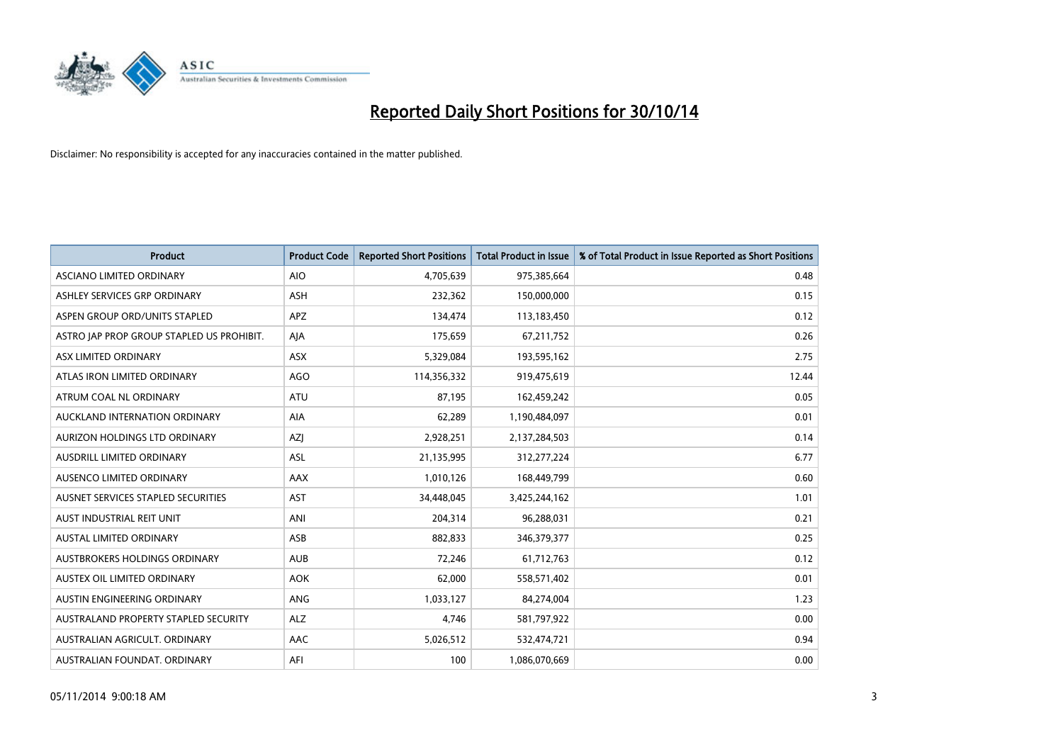

| <b>Product</b>                            | <b>Product Code</b> | <b>Reported Short Positions</b> | <b>Total Product in Issue</b> | % of Total Product in Issue Reported as Short Positions |
|-------------------------------------------|---------------------|---------------------------------|-------------------------------|---------------------------------------------------------|
| ASCIANO LIMITED ORDINARY                  | <b>AIO</b>          | 4,705,639                       | 975,385,664                   | 0.48                                                    |
| ASHLEY SERVICES GRP ORDINARY              | ASH                 | 232,362                         | 150,000,000                   | 0.15                                                    |
| ASPEN GROUP ORD/UNITS STAPLED             | <b>APZ</b>          | 134,474                         | 113,183,450                   | 0.12                                                    |
| ASTRO JAP PROP GROUP STAPLED US PROHIBIT. | AJA                 | 175,659                         | 67,211,752                    | 0.26                                                    |
| ASX LIMITED ORDINARY                      | ASX                 | 5,329,084                       | 193,595,162                   | 2.75                                                    |
| ATLAS IRON LIMITED ORDINARY               | <b>AGO</b>          | 114,356,332                     | 919,475,619                   | 12.44                                                   |
| ATRUM COAL NL ORDINARY                    | ATU                 | 87,195                          | 162,459,242                   | 0.05                                                    |
| AUCKLAND INTERNATION ORDINARY             | <b>AIA</b>          | 62,289                          | 1,190,484,097                 | 0.01                                                    |
| AURIZON HOLDINGS LTD ORDINARY             | AZJ                 | 2,928,251                       | 2,137,284,503                 | 0.14                                                    |
| AUSDRILL LIMITED ORDINARY                 | <b>ASL</b>          | 21,135,995                      | 312,277,224                   | 6.77                                                    |
| AUSENCO LIMITED ORDINARY                  | AAX                 | 1,010,126                       | 168,449,799                   | 0.60                                                    |
| AUSNET SERVICES STAPLED SECURITIES        | <b>AST</b>          | 34,448,045                      | 3,425,244,162                 | 1.01                                                    |
| AUST INDUSTRIAL REIT UNIT                 | ANI                 | 204,314                         | 96,288,031                    | 0.21                                                    |
| <b>AUSTAL LIMITED ORDINARY</b>            | ASB                 | 882,833                         | 346,379,377                   | 0.25                                                    |
| AUSTBROKERS HOLDINGS ORDINARY             | <b>AUB</b>          | 72,246                          | 61,712,763                    | 0.12                                                    |
| AUSTEX OIL LIMITED ORDINARY               | <b>AOK</b>          | 62,000                          | 558,571,402                   | 0.01                                                    |
| AUSTIN ENGINEERING ORDINARY               | ANG                 | 1,033,127                       | 84,274,004                    | 1.23                                                    |
| AUSTRALAND PROPERTY STAPLED SECURITY      | <b>ALZ</b>          | 4,746                           | 581,797,922                   | 0.00                                                    |
| AUSTRALIAN AGRICULT, ORDINARY             | AAC                 | 5,026,512                       | 532,474,721                   | 0.94                                                    |
| AUSTRALIAN FOUNDAT. ORDINARY              | AFI                 | 100                             | 1,086,070,669                 | 0.00                                                    |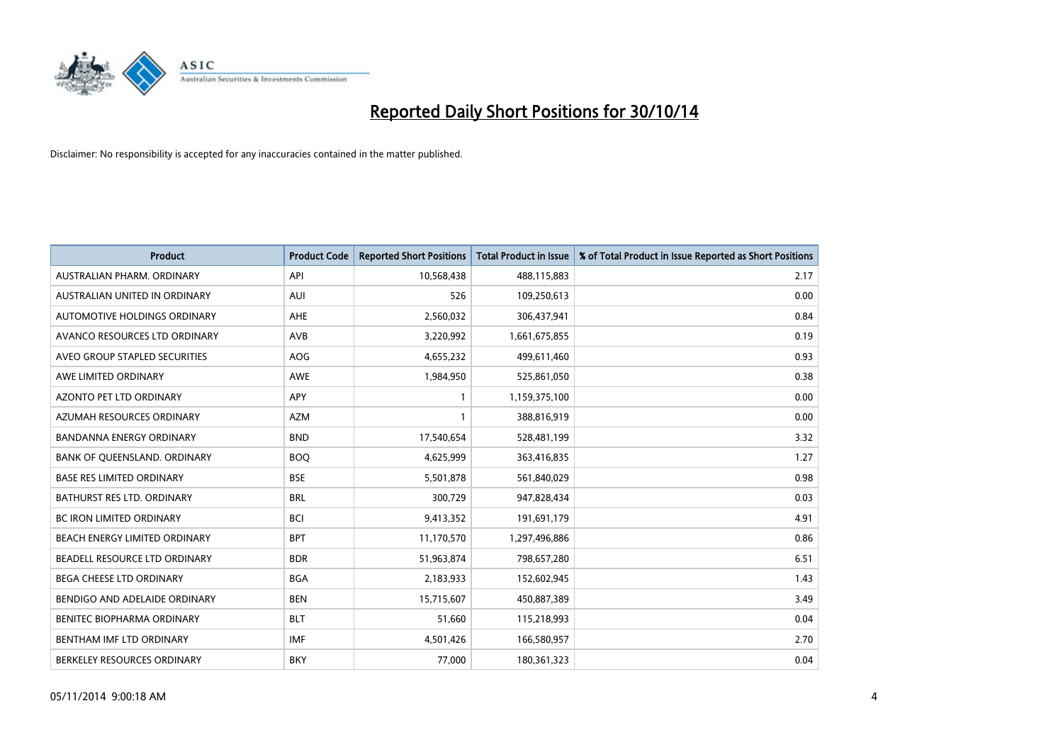

| <b>Product</b>                   | <b>Product Code</b> | <b>Reported Short Positions</b> | <b>Total Product in Issue</b> | % of Total Product in Issue Reported as Short Positions |
|----------------------------------|---------------------|---------------------------------|-------------------------------|---------------------------------------------------------|
| AUSTRALIAN PHARM, ORDINARY       | API                 | 10,568,438                      | 488,115,883                   | 2.17                                                    |
| AUSTRALIAN UNITED IN ORDINARY    | AUI                 | 526                             | 109,250,613                   | 0.00                                                    |
| AUTOMOTIVE HOLDINGS ORDINARY     | AHE                 | 2,560,032                       | 306,437,941                   | 0.84                                                    |
| AVANCO RESOURCES LTD ORDINARY    | AVB                 | 3,220,992                       | 1,661,675,855                 | 0.19                                                    |
| AVEO GROUP STAPLED SECURITIES    | AOG                 | 4,655,232                       | 499,611,460                   | 0.93                                                    |
| AWE LIMITED ORDINARY             | AWE                 | 1,984,950                       | 525,861,050                   | 0.38                                                    |
| <b>AZONTO PET LTD ORDINARY</b>   | <b>APY</b>          | 1                               | 1,159,375,100                 | 0.00                                                    |
| AZUMAH RESOURCES ORDINARY        | <b>AZM</b>          | $\mathbf{1}$                    | 388,816,919                   | 0.00                                                    |
| <b>BANDANNA ENERGY ORDINARY</b>  | <b>BND</b>          | 17,540,654                      | 528,481,199                   | 3.32                                                    |
| BANK OF QUEENSLAND. ORDINARY     | <b>BOQ</b>          | 4,625,999                       | 363,416,835                   | 1.27                                                    |
| <b>BASE RES LIMITED ORDINARY</b> | <b>BSE</b>          | 5,501,878                       | 561,840,029                   | 0.98                                                    |
| BATHURST RES LTD. ORDINARY       | <b>BRL</b>          | 300,729                         | 947,828,434                   | 0.03                                                    |
| <b>BC IRON LIMITED ORDINARY</b>  | <b>BCI</b>          | 9,413,352                       | 191,691,179                   | 4.91                                                    |
| BEACH ENERGY LIMITED ORDINARY    | <b>BPT</b>          | 11,170,570                      | 1,297,496,886                 | 0.86                                                    |
| BEADELL RESOURCE LTD ORDINARY    | <b>BDR</b>          | 51,963,874                      | 798,657,280                   | 6.51                                                    |
| <b>BEGA CHEESE LTD ORDINARY</b>  | <b>BGA</b>          | 2,183,933                       | 152,602,945                   | 1.43                                                    |
| BENDIGO AND ADELAIDE ORDINARY    | <b>BEN</b>          | 15,715,607                      | 450,887,389                   | 3.49                                                    |
| BENITEC BIOPHARMA ORDINARY       | <b>BLT</b>          | 51,660                          | 115,218,993                   | 0.04                                                    |
| BENTHAM IMF LTD ORDINARY         | <b>IMF</b>          | 4,501,426                       | 166,580,957                   | 2.70                                                    |
| BERKELEY RESOURCES ORDINARY      | <b>BKY</b>          | 77,000                          | 180,361,323                   | 0.04                                                    |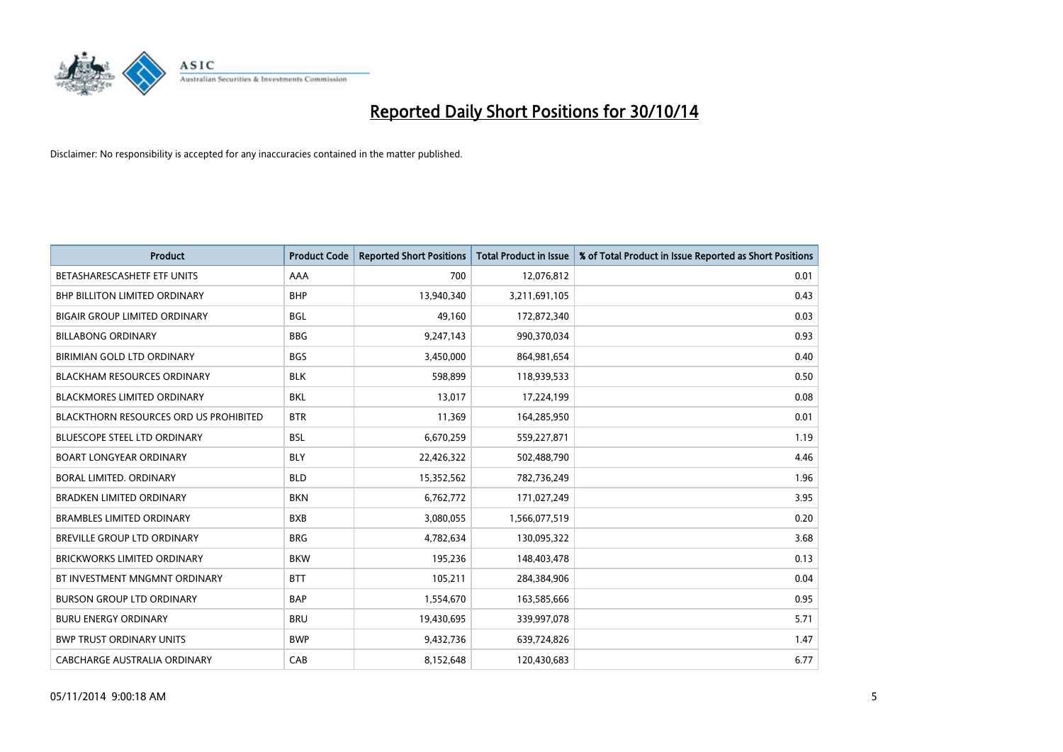

| <b>Product</b>                                | <b>Product Code</b> | <b>Reported Short Positions</b> | <b>Total Product in Issue</b> | % of Total Product in Issue Reported as Short Positions |
|-----------------------------------------------|---------------------|---------------------------------|-------------------------------|---------------------------------------------------------|
| BETASHARESCASHETF ETF UNITS                   | AAA                 | 700                             | 12,076,812                    | 0.01                                                    |
| BHP BILLITON LIMITED ORDINARY                 | <b>BHP</b>          | 13,940,340                      | 3,211,691,105                 | 0.43                                                    |
| <b>BIGAIR GROUP LIMITED ORDINARY</b>          | <b>BGL</b>          | 49,160                          | 172,872,340                   | 0.03                                                    |
| <b>BILLABONG ORDINARY</b>                     | <b>BBG</b>          | 9,247,143                       | 990,370,034                   | 0.93                                                    |
| <b>BIRIMIAN GOLD LTD ORDINARY</b>             | <b>BGS</b>          | 3,450,000                       | 864,981,654                   | 0.40                                                    |
| <b>BLACKHAM RESOURCES ORDINARY</b>            | <b>BLK</b>          | 598,899                         | 118,939,533                   | 0.50                                                    |
| <b>BLACKMORES LIMITED ORDINARY</b>            | <b>BKL</b>          | 13,017                          | 17,224,199                    | 0.08                                                    |
| <b>BLACKTHORN RESOURCES ORD US PROHIBITED</b> | <b>BTR</b>          | 11,369                          | 164,285,950                   | 0.01                                                    |
| BLUESCOPE STEEL LTD ORDINARY                  | <b>BSL</b>          | 6,670,259                       | 559,227,871                   | 1.19                                                    |
| <b>BOART LONGYEAR ORDINARY</b>                | <b>BLY</b>          | 22,426,322                      | 502,488,790                   | 4.46                                                    |
| BORAL LIMITED, ORDINARY                       | <b>BLD</b>          | 15,352,562                      | 782,736,249                   | 1.96                                                    |
| <b>BRADKEN LIMITED ORDINARY</b>               | <b>BKN</b>          | 6,762,772                       | 171,027,249                   | 3.95                                                    |
| <b>BRAMBLES LIMITED ORDINARY</b>              | <b>BXB</b>          | 3,080,055                       | 1,566,077,519                 | 0.20                                                    |
| <b>BREVILLE GROUP LTD ORDINARY</b>            | <b>BRG</b>          | 4,782,634                       | 130,095,322                   | 3.68                                                    |
| <b>BRICKWORKS LIMITED ORDINARY</b>            | <b>BKW</b>          | 195,236                         | 148,403,478                   | 0.13                                                    |
| BT INVESTMENT MNGMNT ORDINARY                 | <b>BTT</b>          | 105,211                         | 284,384,906                   | 0.04                                                    |
| <b>BURSON GROUP LTD ORDINARY</b>              | <b>BAP</b>          | 1,554,670                       | 163,585,666                   | 0.95                                                    |
| <b>BURU ENERGY ORDINARY</b>                   | <b>BRU</b>          | 19,430,695                      | 339,997,078                   | 5.71                                                    |
| <b>BWP TRUST ORDINARY UNITS</b>               | <b>BWP</b>          | 9,432,736                       | 639,724,826                   | 1.47                                                    |
| CABCHARGE AUSTRALIA ORDINARY                  | CAB                 | 8,152,648                       | 120,430,683                   | 6.77                                                    |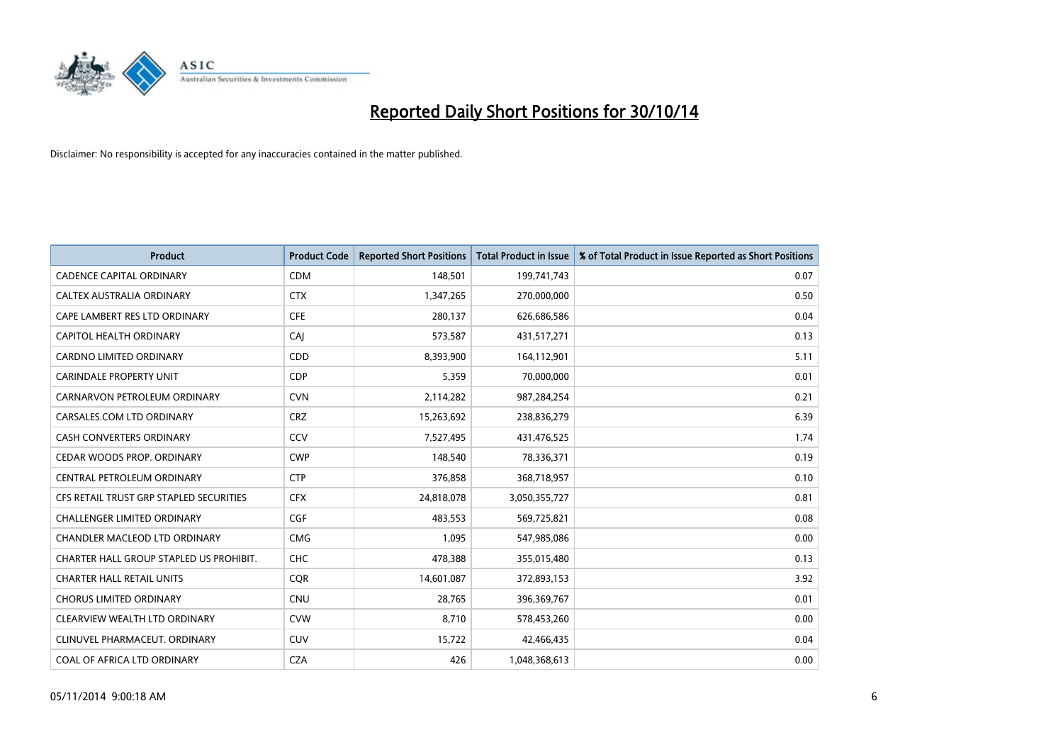

| <b>Product</b>                          | <b>Product Code</b> | <b>Reported Short Positions</b> | <b>Total Product in Issue</b> | % of Total Product in Issue Reported as Short Positions |
|-----------------------------------------|---------------------|---------------------------------|-------------------------------|---------------------------------------------------------|
| <b>CADENCE CAPITAL ORDINARY</b>         | <b>CDM</b>          | 148,501                         | 199,741,743                   | 0.07                                                    |
| CALTEX AUSTRALIA ORDINARY               | <b>CTX</b>          | 1,347,265                       | 270,000,000                   | 0.50                                                    |
| CAPE LAMBERT RES LTD ORDINARY           | <b>CFE</b>          | 280,137                         | 626,686,586                   | 0.04                                                    |
| CAPITOL HEALTH ORDINARY                 | CAI                 | 573,587                         | 431,517,271                   | 0.13                                                    |
| <b>CARDNO LIMITED ORDINARY</b>          | CDD                 | 8,393,900                       | 164,112,901                   | 5.11                                                    |
| <b>CARINDALE PROPERTY UNIT</b>          | <b>CDP</b>          | 5,359                           | 70,000,000                    | 0.01                                                    |
| CARNARVON PETROLEUM ORDINARY            | <b>CVN</b>          | 2,114,282                       | 987,284,254                   | 0.21                                                    |
| CARSALES.COM LTD ORDINARY               | <b>CRZ</b>          | 15,263,692                      | 238,836,279                   | 6.39                                                    |
| <b>CASH CONVERTERS ORDINARY</b>         | CCV                 | 7,527,495                       | 431,476,525                   | 1.74                                                    |
| CEDAR WOODS PROP. ORDINARY              | <b>CWP</b>          | 148,540                         | 78,336,371                    | 0.19                                                    |
| CENTRAL PETROLEUM ORDINARY              | <b>CTP</b>          | 376,858                         | 368,718,957                   | 0.10                                                    |
| CFS RETAIL TRUST GRP STAPLED SECURITIES | <b>CFX</b>          | 24,818,078                      | 3,050,355,727                 | 0.81                                                    |
| CHALLENGER LIMITED ORDINARY             | <b>CGF</b>          | 483,553                         | 569,725,821                   | 0.08                                                    |
| CHANDLER MACLEOD LTD ORDINARY           | <b>CMG</b>          | 1,095                           | 547,985,086                   | 0.00                                                    |
| CHARTER HALL GROUP STAPLED US PROHIBIT. | <b>CHC</b>          | 478,388                         | 355,015,480                   | 0.13                                                    |
| <b>CHARTER HALL RETAIL UNITS</b>        | <b>COR</b>          | 14,601,087                      | 372,893,153                   | 3.92                                                    |
| <b>CHORUS LIMITED ORDINARY</b>          | <b>CNU</b>          | 28,765                          | 396,369,767                   | 0.01                                                    |
| CLEARVIEW WEALTH LTD ORDINARY           | <b>CVW</b>          | 8.710                           | 578,453,260                   | 0.00                                                    |
| CLINUVEL PHARMACEUT, ORDINARY           | <b>CUV</b>          | 15,722                          | 42,466,435                    | 0.04                                                    |
| COAL OF AFRICA LTD ORDINARY             | <b>CZA</b>          | 426                             | 1,048,368,613                 | 0.00                                                    |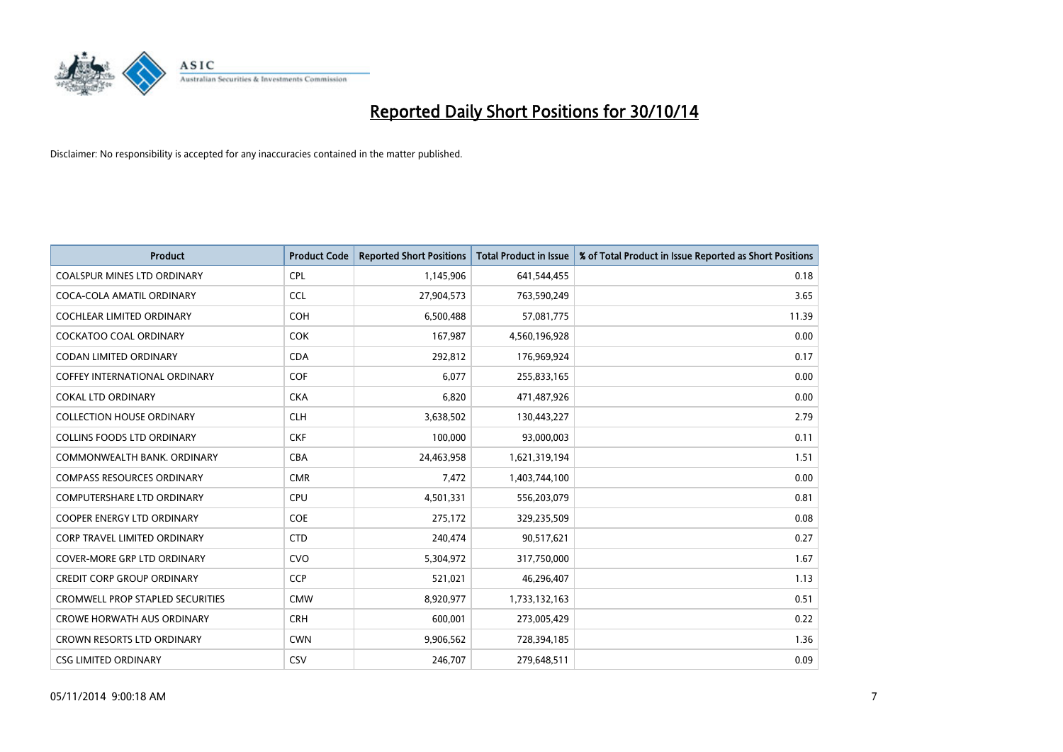

| <b>Product</b>                          | <b>Product Code</b> | <b>Reported Short Positions</b> | <b>Total Product in Issue</b> | % of Total Product in Issue Reported as Short Positions |
|-----------------------------------------|---------------------|---------------------------------|-------------------------------|---------------------------------------------------------|
| <b>COALSPUR MINES LTD ORDINARY</b>      | <b>CPL</b>          | 1,145,906                       | 641,544,455                   | 0.18                                                    |
| COCA-COLA AMATIL ORDINARY               | <b>CCL</b>          | 27,904,573                      | 763,590,249                   | 3.65                                                    |
| <b>COCHLEAR LIMITED ORDINARY</b>        | <b>COH</b>          | 6,500,488                       | 57,081,775                    | 11.39                                                   |
| <b>COCKATOO COAL ORDINARY</b>           | <b>COK</b>          | 167,987                         | 4,560,196,928                 | 0.00                                                    |
| <b>CODAN LIMITED ORDINARY</b>           | <b>CDA</b>          | 292,812                         | 176,969,924                   | 0.17                                                    |
| <b>COFFEY INTERNATIONAL ORDINARY</b>    | COF                 | 6,077                           | 255,833,165                   | 0.00                                                    |
| <b>COKAL LTD ORDINARY</b>               | <b>CKA</b>          | 6,820                           | 471,487,926                   | 0.00                                                    |
| <b>COLLECTION HOUSE ORDINARY</b>        | <b>CLH</b>          | 3,638,502                       | 130,443,227                   | 2.79                                                    |
| <b>COLLINS FOODS LTD ORDINARY</b>       | <b>CKF</b>          | 100,000                         | 93,000,003                    | 0.11                                                    |
| COMMONWEALTH BANK, ORDINARY             | <b>CBA</b>          | 24,463,958                      | 1,621,319,194                 | 1.51                                                    |
| <b>COMPASS RESOURCES ORDINARY</b>       | <b>CMR</b>          | 7,472                           | 1,403,744,100                 | 0.00                                                    |
| <b>COMPUTERSHARE LTD ORDINARY</b>       | <b>CPU</b>          | 4,501,331                       | 556,203,079                   | 0.81                                                    |
| <b>COOPER ENERGY LTD ORDINARY</b>       | <b>COE</b>          | 275,172                         | 329,235,509                   | 0.08                                                    |
| CORP TRAVEL LIMITED ORDINARY            | <b>CTD</b>          | 240,474                         | 90,517,621                    | 0.27                                                    |
| <b>COVER-MORE GRP LTD ORDINARY</b>      | <b>CVO</b>          | 5,304,972                       | 317,750,000                   | 1.67                                                    |
| <b>CREDIT CORP GROUP ORDINARY</b>       | <b>CCP</b>          | 521,021                         | 46,296,407                    | 1.13                                                    |
| <b>CROMWELL PROP STAPLED SECURITIES</b> | <b>CMW</b>          | 8,920,977                       | 1,733,132,163                 | 0.51                                                    |
| <b>CROWE HORWATH AUS ORDINARY</b>       | <b>CRH</b>          | 600,001                         | 273,005,429                   | 0.22                                                    |
| <b>CROWN RESORTS LTD ORDINARY</b>       | <b>CWN</b>          | 9,906,562                       | 728,394,185                   | 1.36                                                    |
| <b>CSG LIMITED ORDINARY</b>             | CSV                 | 246,707                         | 279,648,511                   | 0.09                                                    |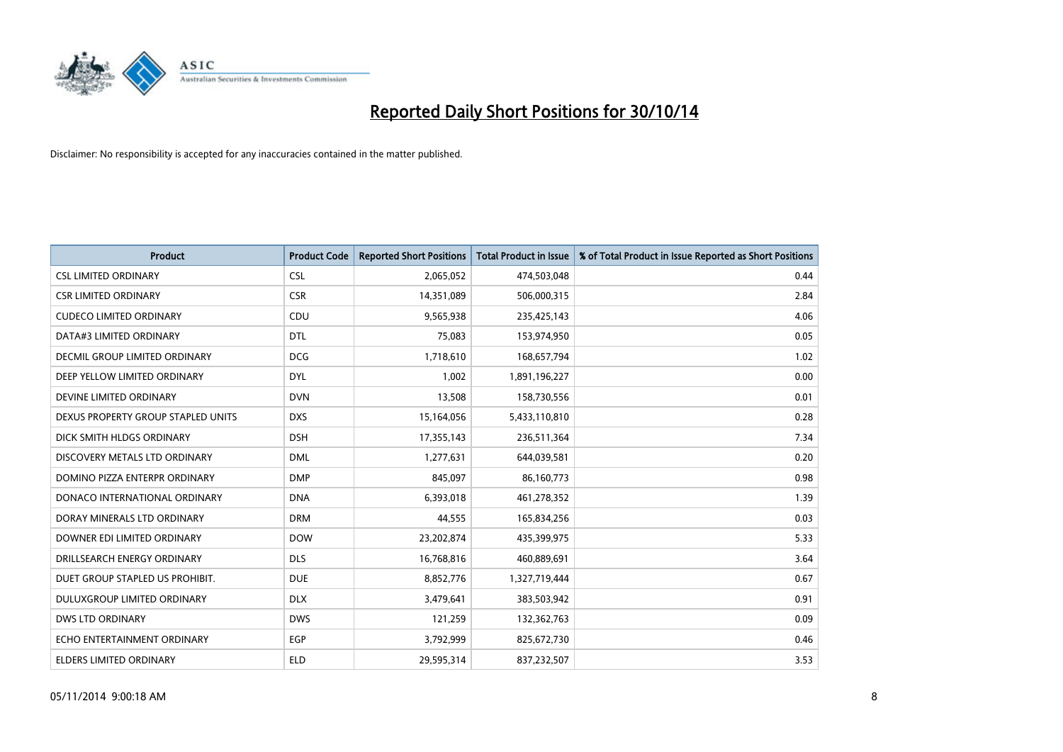

| <b>Product</b>                       | <b>Product Code</b> | <b>Reported Short Positions</b> | <b>Total Product in Issue</b> | % of Total Product in Issue Reported as Short Positions |
|--------------------------------------|---------------------|---------------------------------|-------------------------------|---------------------------------------------------------|
| <b>CSL LIMITED ORDINARY</b>          | <b>CSL</b>          | 2,065,052                       | 474,503,048                   | 0.44                                                    |
| <b>CSR LIMITED ORDINARY</b>          | <b>CSR</b>          | 14,351,089                      | 506,000,315                   | 2.84                                                    |
| <b>CUDECO LIMITED ORDINARY</b>       | CDU                 | 9,565,938                       | 235,425,143                   | 4.06                                                    |
| DATA#3 LIMITED ORDINARY              | <b>DTL</b>          | 75,083                          | 153,974,950                   | 0.05                                                    |
| <b>DECMIL GROUP LIMITED ORDINARY</b> | <b>DCG</b>          | 1,718,610                       | 168,657,794                   | 1.02                                                    |
| DEEP YELLOW LIMITED ORDINARY         | <b>DYL</b>          | 1,002                           | 1,891,196,227                 | 0.00                                                    |
| DEVINE LIMITED ORDINARY              | <b>DVN</b>          | 13,508                          | 158,730,556                   | 0.01                                                    |
| DEXUS PROPERTY GROUP STAPLED UNITS   | <b>DXS</b>          | 15,164,056                      | 5,433,110,810                 | 0.28                                                    |
| DICK SMITH HLDGS ORDINARY            | <b>DSH</b>          | 17,355,143                      | 236,511,364                   | 7.34                                                    |
| DISCOVERY METALS LTD ORDINARY        | <b>DML</b>          | 1,277,631                       | 644,039,581                   | 0.20                                                    |
| DOMINO PIZZA ENTERPR ORDINARY        | <b>DMP</b>          | 845,097                         | 86,160,773                    | 0.98                                                    |
| DONACO INTERNATIONAL ORDINARY        | <b>DNA</b>          | 6,393,018                       | 461,278,352                   | 1.39                                                    |
| DORAY MINERALS LTD ORDINARY          | <b>DRM</b>          | 44,555                          | 165,834,256                   | 0.03                                                    |
| DOWNER EDI LIMITED ORDINARY          | <b>DOW</b>          | 23,202,874                      | 435,399,975                   | 5.33                                                    |
| DRILLSEARCH ENERGY ORDINARY          | <b>DLS</b>          | 16,768,816                      | 460,889,691                   | 3.64                                                    |
| DUET GROUP STAPLED US PROHIBIT.      | <b>DUE</b>          | 8,852,776                       | 1,327,719,444                 | 0.67                                                    |
| DULUXGROUP LIMITED ORDINARY          | <b>DLX</b>          | 3,479,641                       | 383,503,942                   | 0.91                                                    |
| <b>DWS LTD ORDINARY</b>              | <b>DWS</b>          | 121,259                         | 132,362,763                   | 0.09                                                    |
| ECHO ENTERTAINMENT ORDINARY          | <b>EGP</b>          | 3,792,999                       | 825,672,730                   | 0.46                                                    |
| ELDERS LIMITED ORDINARY              | <b>ELD</b>          | 29,595,314                      | 837,232,507                   | 3.53                                                    |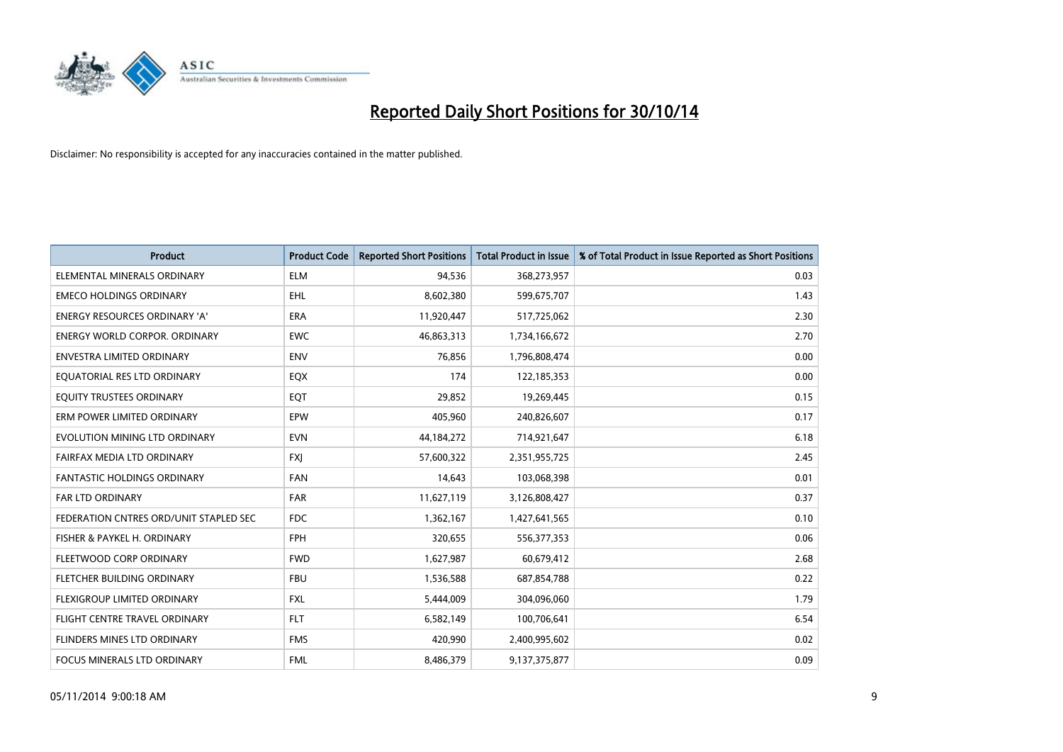

| <b>Product</b>                         | <b>Product Code</b> | <b>Reported Short Positions</b> | <b>Total Product in Issue</b> | % of Total Product in Issue Reported as Short Positions |
|----------------------------------------|---------------------|---------------------------------|-------------------------------|---------------------------------------------------------|
| ELEMENTAL MINERALS ORDINARY            | <b>ELM</b>          | 94,536                          | 368,273,957                   | 0.03                                                    |
| <b>EMECO HOLDINGS ORDINARY</b>         | <b>EHL</b>          | 8,602,380                       | 599,675,707                   | 1.43                                                    |
| <b>ENERGY RESOURCES ORDINARY 'A'</b>   | <b>ERA</b>          | 11,920,447                      | 517,725,062                   | 2.30                                                    |
| ENERGY WORLD CORPOR. ORDINARY          | <b>EWC</b>          | 46,863,313                      | 1,734,166,672                 | 2.70                                                    |
| <b>ENVESTRA LIMITED ORDINARY</b>       | <b>ENV</b>          | 76,856                          | 1,796,808,474                 | 0.00                                                    |
| EQUATORIAL RES LTD ORDINARY            | EQX                 | 174                             | 122,185,353                   | 0.00                                                    |
| EQUITY TRUSTEES ORDINARY               | <b>EQT</b>          | 29,852                          | 19,269,445                    | 0.15                                                    |
| ERM POWER LIMITED ORDINARY             | EPW                 | 405,960                         | 240,826,607                   | 0.17                                                    |
| EVOLUTION MINING LTD ORDINARY          | <b>EVN</b>          | 44,184,272                      | 714,921,647                   | 6.18                                                    |
| FAIRFAX MEDIA LTD ORDINARY             | <b>FXI</b>          | 57,600,322                      | 2,351,955,725                 | 2.45                                                    |
| FANTASTIC HOLDINGS ORDINARY            | <b>FAN</b>          | 14,643                          | 103,068,398                   | 0.01                                                    |
| <b>FAR LTD ORDINARY</b>                | <b>FAR</b>          | 11,627,119                      | 3,126,808,427                 | 0.37                                                    |
| FEDERATION CNTRES ORD/UNIT STAPLED SEC | <b>FDC</b>          | 1,362,167                       | 1,427,641,565                 | 0.10                                                    |
| FISHER & PAYKEL H. ORDINARY            | <b>FPH</b>          | 320,655                         | 556, 377, 353                 | 0.06                                                    |
| FLEETWOOD CORP ORDINARY                | <b>FWD</b>          | 1,627,987                       | 60,679,412                    | 2.68                                                    |
| FLETCHER BUILDING ORDINARY             | <b>FBU</b>          | 1,536,588                       | 687,854,788                   | 0.22                                                    |
| FLEXIGROUP LIMITED ORDINARY            | FXL                 | 5,444,009                       | 304,096,060                   | 1.79                                                    |
| FLIGHT CENTRE TRAVEL ORDINARY          | <b>FLT</b>          | 6,582,149                       | 100,706,641                   | 6.54                                                    |
| FLINDERS MINES LTD ORDINARY            | <b>FMS</b>          | 420,990                         | 2,400,995,602                 | 0.02                                                    |
| FOCUS MINERALS LTD ORDINARY            | <b>FML</b>          | 8,486,379                       | 9,137,375,877                 | 0.09                                                    |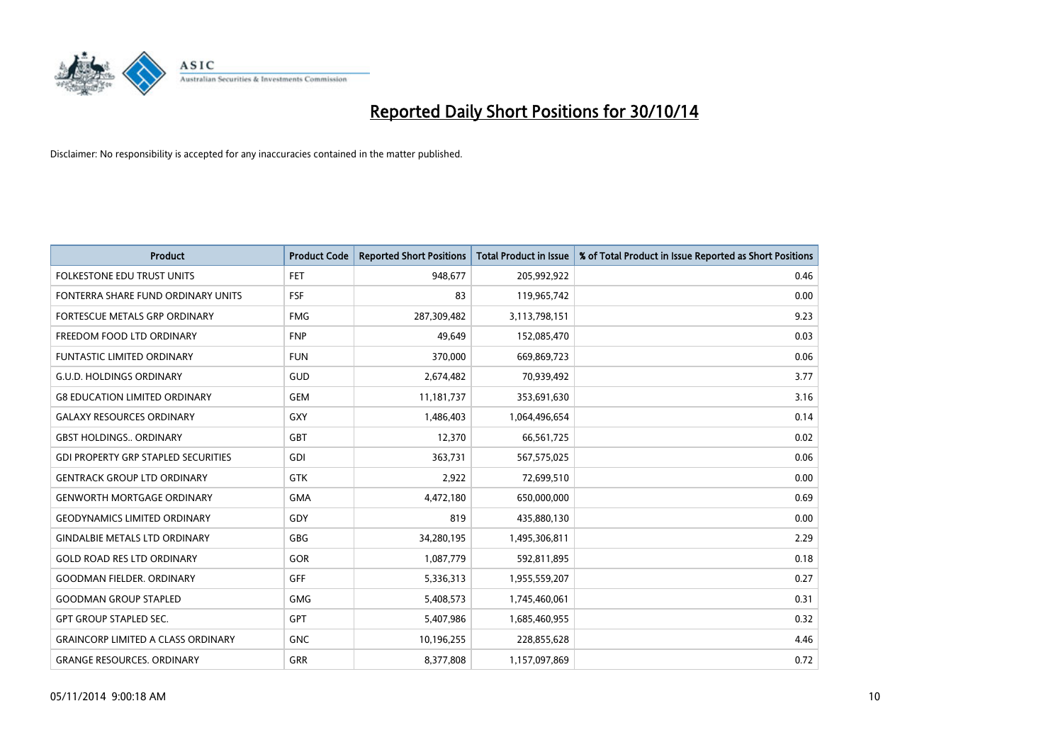

| <b>Product</b>                             | <b>Product Code</b> | <b>Reported Short Positions</b> | <b>Total Product in Issue</b> | % of Total Product in Issue Reported as Short Positions |
|--------------------------------------------|---------------------|---------------------------------|-------------------------------|---------------------------------------------------------|
| <b>FOLKESTONE EDU TRUST UNITS</b>          | <b>FET</b>          | 948.677                         | 205,992,922                   | 0.46                                                    |
| FONTERRA SHARE FUND ORDINARY UNITS         | FSF                 | 83                              | 119,965,742                   | 0.00                                                    |
| <b>FORTESCUE METALS GRP ORDINARY</b>       | <b>FMG</b>          | 287,309,482                     | 3,113,798,151                 | 9.23                                                    |
| FREEDOM FOOD LTD ORDINARY                  | <b>FNP</b>          | 49,649                          | 152,085,470                   | 0.03                                                    |
| <b>FUNTASTIC LIMITED ORDINARY</b>          | <b>FUN</b>          | 370,000                         | 669,869,723                   | 0.06                                                    |
| <b>G.U.D. HOLDINGS ORDINARY</b>            | GUD                 | 2,674,482                       | 70,939,492                    | 3.77                                                    |
| <b>G8 EDUCATION LIMITED ORDINARY</b>       | <b>GEM</b>          | 11, 181, 737                    | 353,691,630                   | 3.16                                                    |
| <b>GALAXY RESOURCES ORDINARY</b>           | <b>GXY</b>          | 1,486,403                       | 1,064,496,654                 | 0.14                                                    |
| <b>GBST HOLDINGS., ORDINARY</b>            | <b>GBT</b>          | 12,370                          | 66,561,725                    | 0.02                                                    |
| <b>GDI PROPERTY GRP STAPLED SECURITIES</b> | GDI                 | 363,731                         | 567,575,025                   | 0.06                                                    |
| <b>GENTRACK GROUP LTD ORDINARY</b>         | <b>GTK</b>          | 2,922                           | 72,699,510                    | 0.00                                                    |
| <b>GENWORTH MORTGAGE ORDINARY</b>          | <b>GMA</b>          | 4,472,180                       | 650,000,000                   | 0.69                                                    |
| GEODYNAMICS LIMITED ORDINARY               | GDY                 | 819                             | 435,880,130                   | 0.00                                                    |
| <b>GINDALBIE METALS LTD ORDINARY</b>       | GBG                 | 34,280,195                      | 1,495,306,811                 | 2.29                                                    |
| <b>GOLD ROAD RES LTD ORDINARY</b>          | <b>GOR</b>          | 1,087,779                       | 592,811,895                   | 0.18                                                    |
| GOODMAN FIELDER. ORDINARY                  | GFF                 | 5,336,313                       | 1,955,559,207                 | 0.27                                                    |
| <b>GOODMAN GROUP STAPLED</b>               | <b>GMG</b>          | 5,408,573                       | 1,745,460,061                 | 0.31                                                    |
| <b>GPT GROUP STAPLED SEC.</b>              | <b>GPT</b>          | 5,407,986                       | 1,685,460,955                 | 0.32                                                    |
| <b>GRAINCORP LIMITED A CLASS ORDINARY</b>  | <b>GNC</b>          | 10,196,255                      | 228,855,628                   | 4.46                                                    |
| <b>GRANGE RESOURCES. ORDINARY</b>          | GRR                 | 8,377,808                       | 1,157,097,869                 | 0.72                                                    |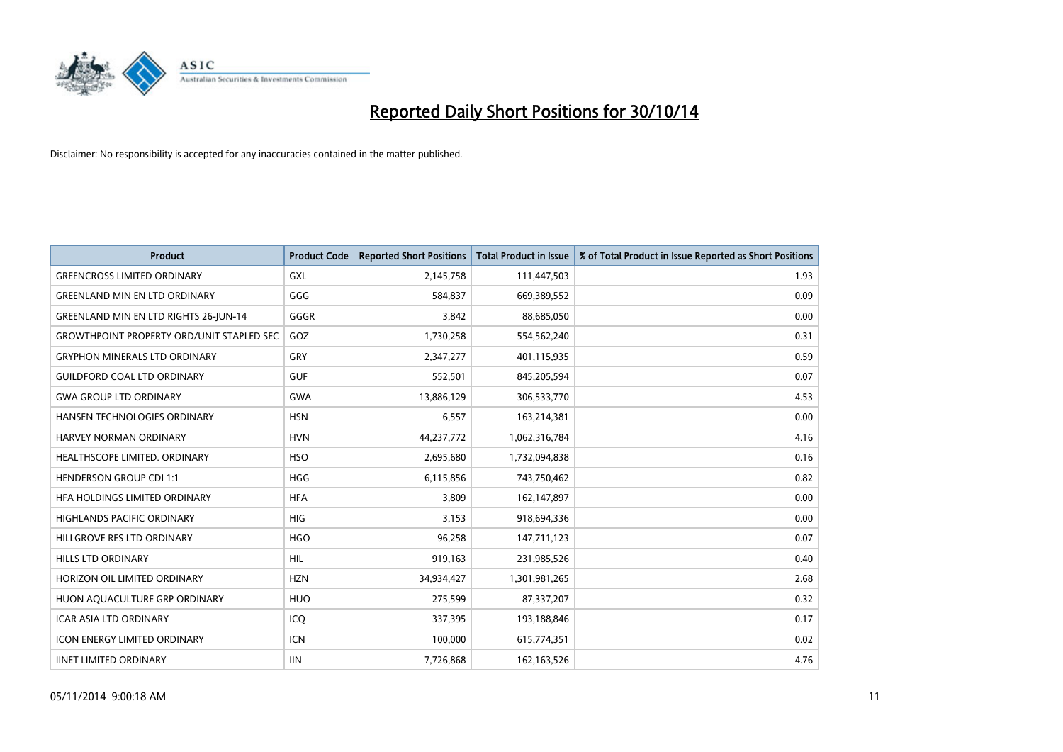

| Product                                          | <b>Product Code</b> | <b>Reported Short Positions</b> | <b>Total Product in Issue</b> | % of Total Product in Issue Reported as Short Positions |
|--------------------------------------------------|---------------------|---------------------------------|-------------------------------|---------------------------------------------------------|
| <b>GREENCROSS LIMITED ORDINARY</b>               | GXL                 | 2,145,758                       | 111,447,503                   | 1.93                                                    |
| <b>GREENLAND MIN EN LTD ORDINARY</b>             | GGG                 | 584,837                         | 669,389,552                   | 0.09                                                    |
| <b>GREENLAND MIN EN LTD RIGHTS 26-JUN-14</b>     | GGGR                | 3,842                           | 88,685,050                    | 0.00                                                    |
| <b>GROWTHPOINT PROPERTY ORD/UNIT STAPLED SEC</b> | GOZ                 | 1,730,258                       | 554,562,240                   | 0.31                                                    |
| <b>GRYPHON MINERALS LTD ORDINARY</b>             | GRY                 | 2,347,277                       | 401,115,935                   | 0.59                                                    |
| <b>GUILDFORD COAL LTD ORDINARY</b>               | <b>GUF</b>          | 552,501                         | 845,205,594                   | 0.07                                                    |
| <b>GWA GROUP LTD ORDINARY</b>                    | <b>GWA</b>          | 13,886,129                      | 306,533,770                   | 4.53                                                    |
| HANSEN TECHNOLOGIES ORDINARY                     | <b>HSN</b>          | 6,557                           | 163,214,381                   | 0.00                                                    |
| <b>HARVEY NORMAN ORDINARY</b>                    | <b>HVN</b>          | 44,237,772                      | 1,062,316,784                 | 4.16                                                    |
| HEALTHSCOPE LIMITED. ORDINARY                    | <b>HSO</b>          | 2,695,680                       | 1,732,094,838                 | 0.16                                                    |
| <b>HENDERSON GROUP CDI 1:1</b>                   | <b>HGG</b>          | 6,115,856                       | 743,750,462                   | 0.82                                                    |
| HEA HOLDINGS LIMITED ORDINARY                    | <b>HFA</b>          | 3,809                           | 162,147,897                   | 0.00                                                    |
| <b>HIGHLANDS PACIFIC ORDINARY</b>                | <b>HIG</b>          | 3,153                           | 918,694,336                   | 0.00                                                    |
| HILLGROVE RES LTD ORDINARY                       | <b>HGO</b>          | 96,258                          | 147,711,123                   | 0.07                                                    |
| <b>HILLS LTD ORDINARY</b>                        | <b>HIL</b>          | 919,163                         | 231,985,526                   | 0.40                                                    |
| HORIZON OIL LIMITED ORDINARY                     | <b>HZN</b>          | 34,934,427                      | 1,301,981,265                 | 2.68                                                    |
| HUON AQUACULTURE GRP ORDINARY                    | <b>HUO</b>          | 275,599                         | 87,337,207                    | 0.32                                                    |
| <b>ICAR ASIA LTD ORDINARY</b>                    | ICQ                 | 337,395                         | 193,188,846                   | 0.17                                                    |
| <b>ICON ENERGY LIMITED ORDINARY</b>              | <b>ICN</b>          | 100,000                         | 615,774,351                   | 0.02                                                    |
| <b>IINET LIMITED ORDINARY</b>                    | <b>IIN</b>          | 7,726,868                       | 162, 163, 526                 | 4.76                                                    |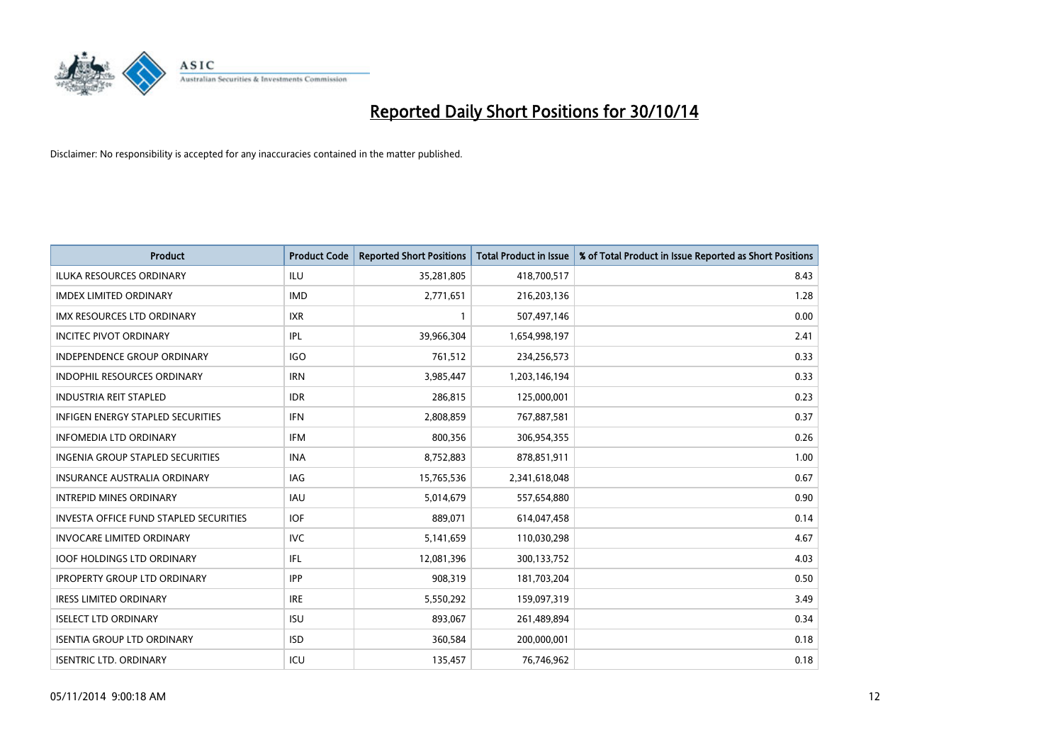

| <b>Product</b>                                | <b>Product Code</b> | <b>Reported Short Positions</b> | <b>Total Product in Issue</b> | % of Total Product in Issue Reported as Short Positions |
|-----------------------------------------------|---------------------|---------------------------------|-------------------------------|---------------------------------------------------------|
| <b>ILUKA RESOURCES ORDINARY</b>               | ILU                 | 35,281,805                      | 418,700,517                   | 8.43                                                    |
| <b>IMDEX LIMITED ORDINARY</b>                 | <b>IMD</b>          | 2,771,651                       | 216,203,136                   | 1.28                                                    |
| <b>IMX RESOURCES LTD ORDINARY</b>             | <b>IXR</b>          | $\mathbf{1}$                    | 507,497,146                   | 0.00                                                    |
| <b>INCITEC PIVOT ORDINARY</b>                 | IPL                 | 39,966,304                      | 1,654,998,197                 | 2.41                                                    |
| <b>INDEPENDENCE GROUP ORDINARY</b>            | <b>IGO</b>          | 761,512                         | 234,256,573                   | 0.33                                                    |
| <b>INDOPHIL RESOURCES ORDINARY</b>            | <b>IRN</b>          | 3,985,447                       | 1,203,146,194                 | 0.33                                                    |
| <b>INDUSTRIA REIT STAPLED</b>                 | <b>IDR</b>          | 286,815                         | 125,000,001                   | 0.23                                                    |
| <b>INFIGEN ENERGY STAPLED SECURITIES</b>      | <b>IFN</b>          | 2,808,859                       | 767,887,581                   | 0.37                                                    |
| INFOMEDIA LTD ORDINARY                        | <b>IFM</b>          | 800,356                         | 306,954,355                   | 0.26                                                    |
| <b>INGENIA GROUP STAPLED SECURITIES</b>       | <b>INA</b>          | 8,752,883                       | 878,851,911                   | 1.00                                                    |
| <b>INSURANCE AUSTRALIA ORDINARY</b>           | IAG                 | 15,765,536                      | 2,341,618,048                 | 0.67                                                    |
| <b>INTREPID MINES ORDINARY</b>                | IAU                 | 5,014,679                       | 557,654,880                   | 0.90                                                    |
| <b>INVESTA OFFICE FUND STAPLED SECURITIES</b> | <b>IOF</b>          | 889.071                         | 614,047,458                   | 0.14                                                    |
| <b>INVOCARE LIMITED ORDINARY</b>              | <b>IVC</b>          | 5,141,659                       | 110,030,298                   | 4.67                                                    |
| <b>IOOF HOLDINGS LTD ORDINARY</b>             | IFL                 | 12,081,396                      | 300,133,752                   | 4.03                                                    |
| <b>IPROPERTY GROUP LTD ORDINARY</b>           | <b>IPP</b>          | 908,319                         | 181,703,204                   | 0.50                                                    |
| <b>IRESS LIMITED ORDINARY</b>                 | <b>IRE</b>          | 5,550,292                       | 159,097,319                   | 3.49                                                    |
| <b>ISELECT LTD ORDINARY</b>                   | <b>ISU</b>          | 893,067                         | 261,489,894                   | 0.34                                                    |
| <b>ISENTIA GROUP LTD ORDINARY</b>             | <b>ISD</b>          | 360,584                         | 200,000,001                   | 0.18                                                    |
| <b>ISENTRIC LTD. ORDINARY</b>                 | ICU                 | 135,457                         | 76,746,962                    | 0.18                                                    |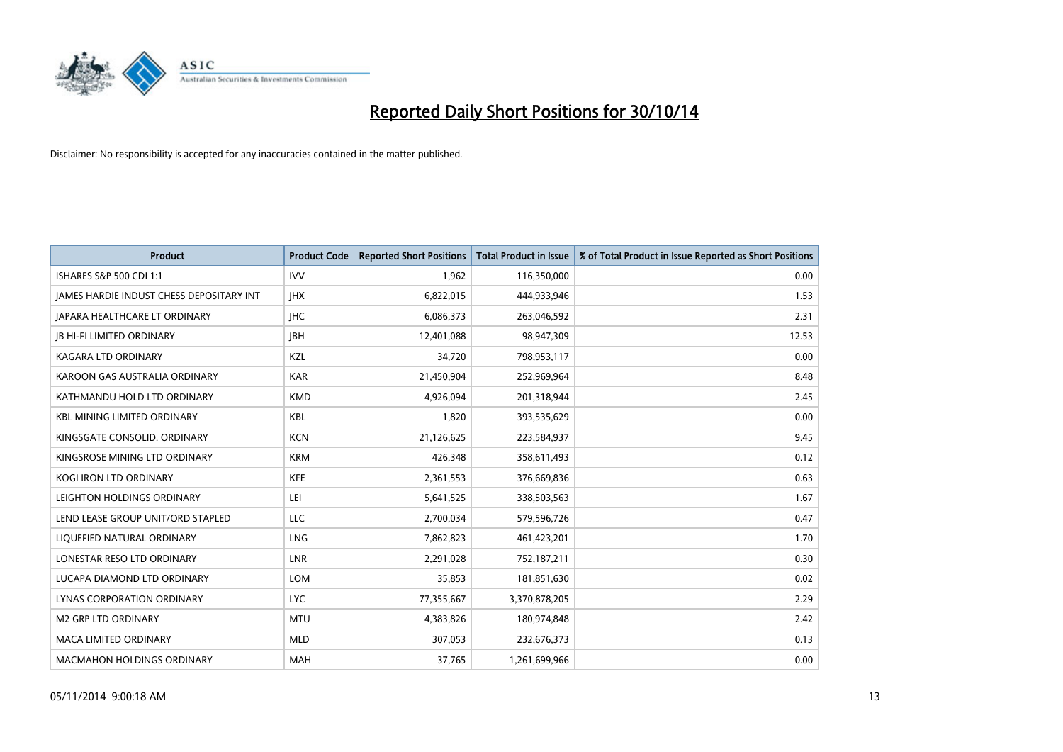

| <b>Product</b>                           | <b>Product Code</b> | <b>Reported Short Positions</b> | <b>Total Product in Issue</b> | % of Total Product in Issue Reported as Short Positions |
|------------------------------------------|---------------------|---------------------------------|-------------------------------|---------------------------------------------------------|
| <b>ISHARES S&amp;P 500 CDI 1:1</b>       | <b>IVV</b>          | 1,962                           | 116,350,000                   | 0.00                                                    |
| JAMES HARDIE INDUST CHESS DEPOSITARY INT | <b>IHX</b>          | 6,822,015                       | 444,933,946                   | 1.53                                                    |
| <b>JAPARA HEALTHCARE LT ORDINARY</b>     | <b>IHC</b>          | 6,086,373                       | 263,046,592                   | 2.31                                                    |
| <b>JB HI-FI LIMITED ORDINARY</b>         | <b>IBH</b>          | 12,401,088                      | 98,947,309                    | 12.53                                                   |
| <b>KAGARA LTD ORDINARY</b>               | KZL                 | 34,720                          | 798,953,117                   | 0.00                                                    |
| KAROON GAS AUSTRALIA ORDINARY            | <b>KAR</b>          | 21,450,904                      | 252,969,964                   | 8.48                                                    |
| KATHMANDU HOLD LTD ORDINARY              | <b>KMD</b>          | 4,926,094                       | 201,318,944                   | 2.45                                                    |
| <b>KBL MINING LIMITED ORDINARY</b>       | <b>KBL</b>          | 1,820                           | 393,535,629                   | 0.00                                                    |
| KINGSGATE CONSOLID. ORDINARY             | <b>KCN</b>          | 21,126,625                      | 223,584,937                   | 9.45                                                    |
| KINGSROSE MINING LTD ORDINARY            | <b>KRM</b>          | 426,348                         | 358,611,493                   | 0.12                                                    |
| <b>KOGI IRON LTD ORDINARY</b>            | <b>KFE</b>          | 2,361,553                       | 376,669,836                   | 0.63                                                    |
| LEIGHTON HOLDINGS ORDINARY               | LEI                 | 5,641,525                       | 338,503,563                   | 1.67                                                    |
| LEND LEASE GROUP UNIT/ORD STAPLED        | <b>LLC</b>          | 2,700,034                       | 579,596,726                   | 0.47                                                    |
| LIQUEFIED NATURAL ORDINARY               | <b>LNG</b>          | 7,862,823                       | 461,423,201                   | 1.70                                                    |
| LONESTAR RESO LTD ORDINARY               | LNR                 | 2,291,028                       | 752,187,211                   | 0.30                                                    |
| LUCAPA DIAMOND LTD ORDINARY              | <b>LOM</b>          | 35,853                          | 181,851,630                   | 0.02                                                    |
| LYNAS CORPORATION ORDINARY               | <b>LYC</b>          | 77,355,667                      | 3,370,878,205                 | 2.29                                                    |
| <b>M2 GRP LTD ORDINARY</b>               | <b>MTU</b>          | 4,383,826                       | 180,974,848                   | 2.42                                                    |
| <b>MACA LIMITED ORDINARY</b>             | <b>MLD</b>          | 307,053                         | 232,676,373                   | 0.13                                                    |
| <b>MACMAHON HOLDINGS ORDINARY</b>        | <b>MAH</b>          | 37,765                          | 1,261,699,966                 | 0.00                                                    |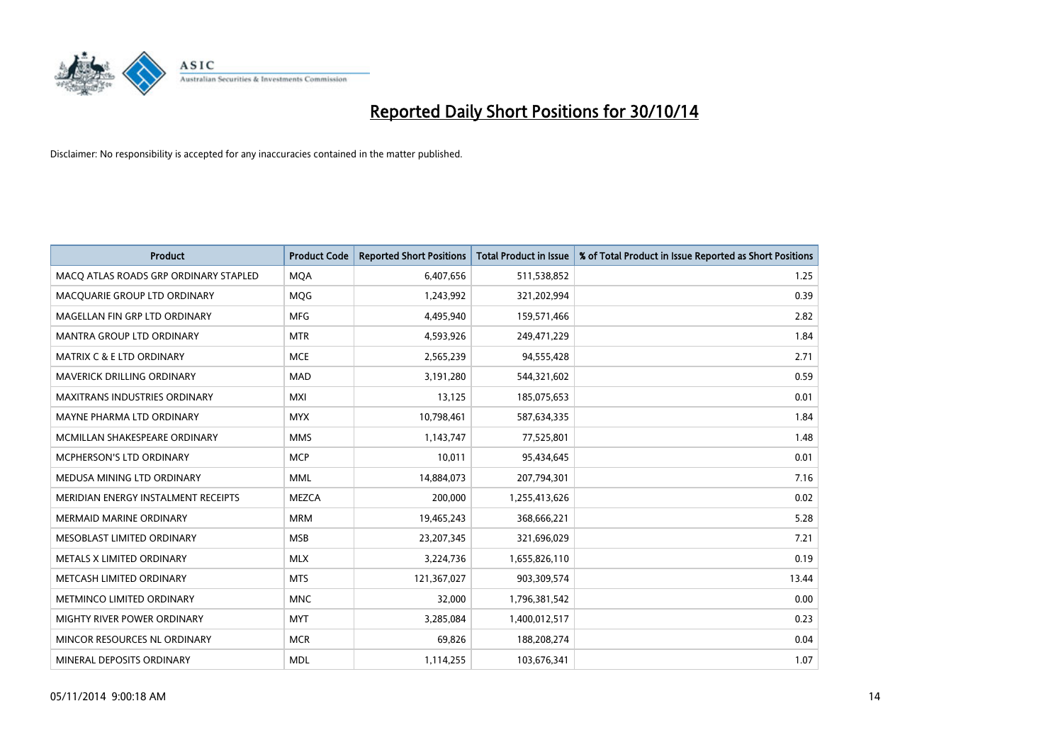

| <b>Product</b>                        | <b>Product Code</b> | <b>Reported Short Positions</b> | <b>Total Product in Issue</b> | % of Total Product in Issue Reported as Short Positions |
|---------------------------------------|---------------------|---------------------------------|-------------------------------|---------------------------------------------------------|
| MACO ATLAS ROADS GRP ORDINARY STAPLED | <b>MQA</b>          | 6,407,656                       | 511,538,852                   | 1.25                                                    |
| MACQUARIE GROUP LTD ORDINARY          | <b>MQG</b>          | 1,243,992                       | 321,202,994                   | 0.39                                                    |
| MAGELLAN FIN GRP LTD ORDINARY         | <b>MFG</b>          | 4,495,940                       | 159,571,466                   | 2.82                                                    |
| <b>MANTRA GROUP LTD ORDINARY</b>      | <b>MTR</b>          | 4,593,926                       | 249,471,229                   | 1.84                                                    |
| <b>MATRIX C &amp; E LTD ORDINARY</b>  | <b>MCE</b>          | 2,565,239                       | 94,555,428                    | 2.71                                                    |
| MAVERICK DRILLING ORDINARY            | <b>MAD</b>          | 3,191,280                       | 544,321,602                   | 0.59                                                    |
| <b>MAXITRANS INDUSTRIES ORDINARY</b>  | <b>MXI</b>          | 13,125                          | 185,075,653                   | 0.01                                                    |
| MAYNE PHARMA LTD ORDINARY             | <b>MYX</b>          | 10,798,461                      | 587,634,335                   | 1.84                                                    |
| MCMILLAN SHAKESPEARE ORDINARY         | <b>MMS</b>          | 1,143,747                       | 77,525,801                    | 1.48                                                    |
| <b>MCPHERSON'S LTD ORDINARY</b>       | <b>MCP</b>          | 10,011                          | 95,434,645                    | 0.01                                                    |
| MEDUSA MINING LTD ORDINARY            | <b>MML</b>          | 14,884,073                      | 207,794,301                   | 7.16                                                    |
| MERIDIAN ENERGY INSTALMENT RECEIPTS   | <b>MEZCA</b>        | 200,000                         | 1,255,413,626                 | 0.02                                                    |
| <b>MERMAID MARINE ORDINARY</b>        | <b>MRM</b>          | 19,465,243                      | 368,666,221                   | 5.28                                                    |
| MESOBLAST LIMITED ORDINARY            | <b>MSB</b>          | 23,207,345                      | 321,696,029                   | 7.21                                                    |
| METALS X LIMITED ORDINARY             | <b>MLX</b>          | 3,224,736                       | 1,655,826,110                 | 0.19                                                    |
| METCASH LIMITED ORDINARY              | <b>MTS</b>          | 121,367,027                     | 903,309,574                   | 13.44                                                   |
| METMINCO LIMITED ORDINARY             | <b>MNC</b>          | 32,000                          | 1,796,381,542                 | 0.00                                                    |
| MIGHTY RIVER POWER ORDINARY           | <b>MYT</b>          | 3,285,084                       | 1,400,012,517                 | 0.23                                                    |
| MINCOR RESOURCES NL ORDINARY          | <b>MCR</b>          | 69,826                          | 188,208,274                   | 0.04                                                    |
| MINERAL DEPOSITS ORDINARY             | <b>MDL</b>          | 1,114,255                       | 103,676,341                   | 1.07                                                    |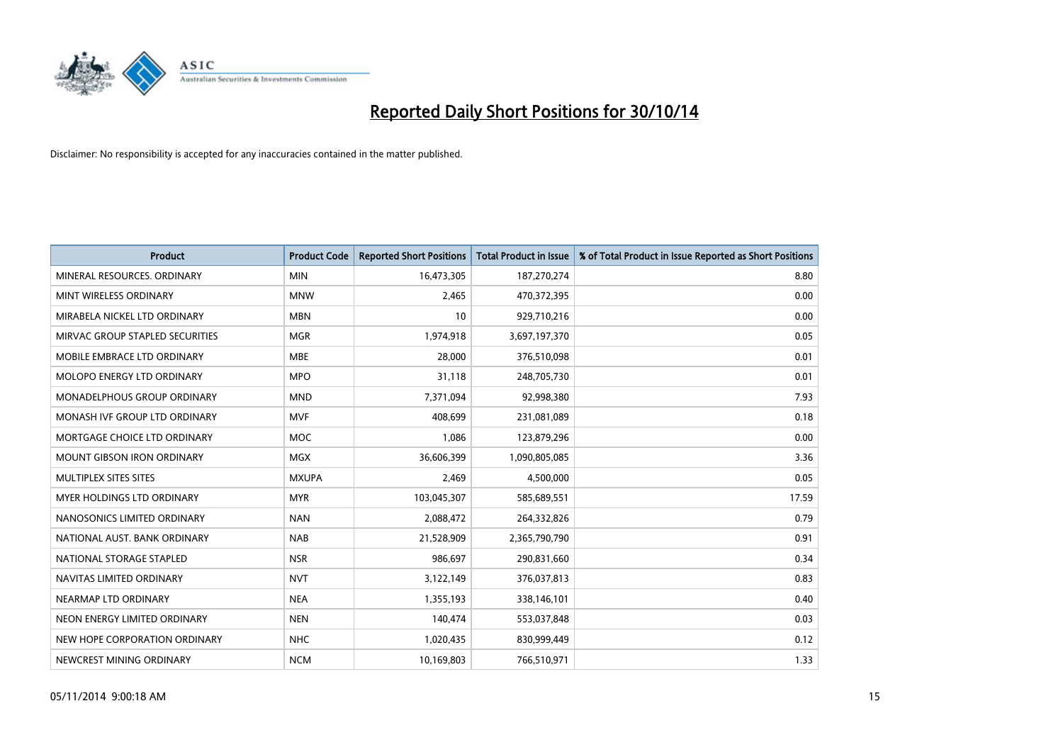

| <b>Product</b>                    | <b>Product Code</b> | <b>Reported Short Positions</b> | <b>Total Product in Issue</b> | % of Total Product in Issue Reported as Short Positions |
|-----------------------------------|---------------------|---------------------------------|-------------------------------|---------------------------------------------------------|
| MINERAL RESOURCES, ORDINARY       | <b>MIN</b>          | 16,473,305                      | 187,270,274                   | 8.80                                                    |
| MINT WIRELESS ORDINARY            | <b>MNW</b>          | 2,465                           | 470,372,395                   | 0.00                                                    |
| MIRABELA NICKEL LTD ORDINARY      | <b>MBN</b>          | 10                              | 929,710,216                   | 0.00                                                    |
| MIRVAC GROUP STAPLED SECURITIES   | <b>MGR</b>          | 1,974,918                       | 3,697,197,370                 | 0.05                                                    |
| MOBILE EMBRACE LTD ORDINARY       | <b>MBE</b>          | 28,000                          | 376,510,098                   | 0.01                                                    |
| MOLOPO ENERGY LTD ORDINARY        | <b>MPO</b>          | 31,118                          | 248,705,730                   | 0.01                                                    |
| MONADELPHOUS GROUP ORDINARY       | <b>MND</b>          | 7,371,094                       | 92,998,380                    | 7.93                                                    |
| MONASH IVF GROUP LTD ORDINARY     | <b>MVF</b>          | 408,699                         | 231,081,089                   | 0.18                                                    |
| MORTGAGE CHOICE LTD ORDINARY      | <b>MOC</b>          | 1,086                           | 123,879,296                   | 0.00                                                    |
| <b>MOUNT GIBSON IRON ORDINARY</b> | <b>MGX</b>          | 36,606,399                      | 1,090,805,085                 | 3.36                                                    |
| MULTIPLEX SITES SITES             | <b>MXUPA</b>        | 2,469                           | 4,500,000                     | 0.05                                                    |
| MYER HOLDINGS LTD ORDINARY        | <b>MYR</b>          | 103,045,307                     | 585,689,551                   | 17.59                                                   |
| NANOSONICS LIMITED ORDINARY       | <b>NAN</b>          | 2,088,472                       | 264,332,826                   | 0.79                                                    |
| NATIONAL AUST. BANK ORDINARY      | <b>NAB</b>          | 21,528,909                      | 2,365,790,790                 | 0.91                                                    |
| NATIONAL STORAGE STAPLED          | <b>NSR</b>          | 986,697                         | 290,831,660                   | 0.34                                                    |
| NAVITAS LIMITED ORDINARY          | <b>NVT</b>          | 3,122,149                       | 376,037,813                   | 0.83                                                    |
| NEARMAP LTD ORDINARY              | <b>NEA</b>          | 1,355,193                       | 338,146,101                   | 0.40                                                    |
| NEON ENERGY LIMITED ORDINARY      | <b>NEN</b>          | 140,474                         | 553,037,848                   | 0.03                                                    |
| NEW HOPE CORPORATION ORDINARY     | <b>NHC</b>          | 1,020,435                       | 830,999,449                   | 0.12                                                    |
| NEWCREST MINING ORDINARY          | <b>NCM</b>          | 10,169,803                      | 766,510,971                   | 1.33                                                    |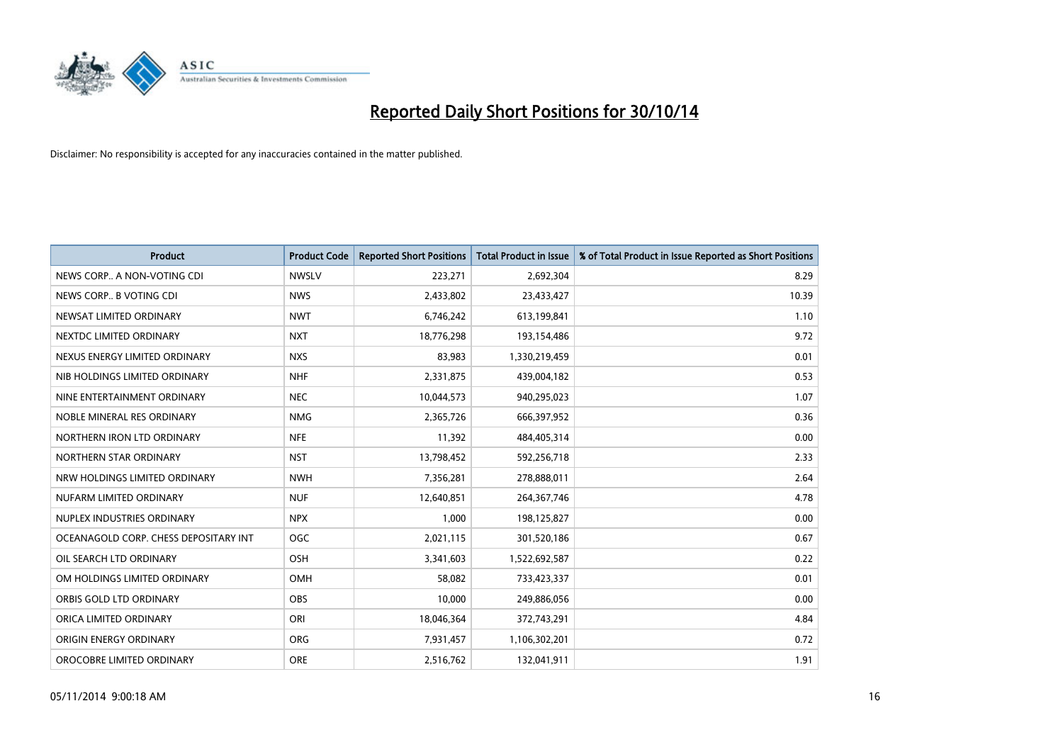

| <b>Product</b>                        | <b>Product Code</b> | <b>Reported Short Positions</b> | <b>Total Product in Issue</b> | % of Total Product in Issue Reported as Short Positions |
|---------------------------------------|---------------------|---------------------------------|-------------------------------|---------------------------------------------------------|
| NEWS CORP A NON-VOTING CDI            | <b>NWSLV</b>        | 223,271                         | 2,692,304                     | 8.29                                                    |
| NEWS CORP B VOTING CDI                | <b>NWS</b>          | 2,433,802                       | 23,433,427                    | 10.39                                                   |
| NEWSAT LIMITED ORDINARY               | <b>NWT</b>          | 6,746,242                       | 613,199,841                   | 1.10                                                    |
| NEXTDC LIMITED ORDINARY               | <b>NXT</b>          | 18,776,298                      | 193,154,486                   | 9.72                                                    |
| NEXUS ENERGY LIMITED ORDINARY         | <b>NXS</b>          | 83,983                          | 1,330,219,459                 | 0.01                                                    |
| NIB HOLDINGS LIMITED ORDINARY         | <b>NHF</b>          | 2,331,875                       | 439,004,182                   | 0.53                                                    |
| NINE ENTERTAINMENT ORDINARY           | <b>NEC</b>          | 10,044,573                      | 940,295,023                   | 1.07                                                    |
| NOBLE MINERAL RES ORDINARY            | <b>NMG</b>          | 2,365,726                       | 666,397,952                   | 0.36                                                    |
| NORTHERN IRON LTD ORDINARY            | <b>NFE</b>          | 11,392                          | 484,405,314                   | 0.00                                                    |
| NORTHERN STAR ORDINARY                | <b>NST</b>          | 13,798,452                      | 592,256,718                   | 2.33                                                    |
| NRW HOLDINGS LIMITED ORDINARY         | <b>NWH</b>          | 7,356,281                       | 278,888,011                   | 2.64                                                    |
| NUFARM LIMITED ORDINARY               | <b>NUF</b>          | 12,640,851                      | 264,367,746                   | 4.78                                                    |
| NUPLEX INDUSTRIES ORDINARY            | <b>NPX</b>          | 1,000                           | 198,125,827                   | 0.00                                                    |
| OCEANAGOLD CORP. CHESS DEPOSITARY INT | <b>OGC</b>          | 2,021,115                       | 301,520,186                   | 0.67                                                    |
| OIL SEARCH LTD ORDINARY               | OSH                 | 3,341,603                       | 1,522,692,587                 | 0.22                                                    |
| OM HOLDINGS LIMITED ORDINARY          | <b>OMH</b>          | 58,082                          | 733,423,337                   | 0.01                                                    |
| ORBIS GOLD LTD ORDINARY               | OBS                 | 10,000                          | 249,886,056                   | 0.00                                                    |
| ORICA LIMITED ORDINARY                | ORI                 | 18,046,364                      | 372,743,291                   | 4.84                                                    |
| ORIGIN ENERGY ORDINARY                | <b>ORG</b>          | 7,931,457                       | 1,106,302,201                 | 0.72                                                    |
| OROCOBRE LIMITED ORDINARY             | <b>ORE</b>          | 2,516,762                       | 132,041,911                   | 1.91                                                    |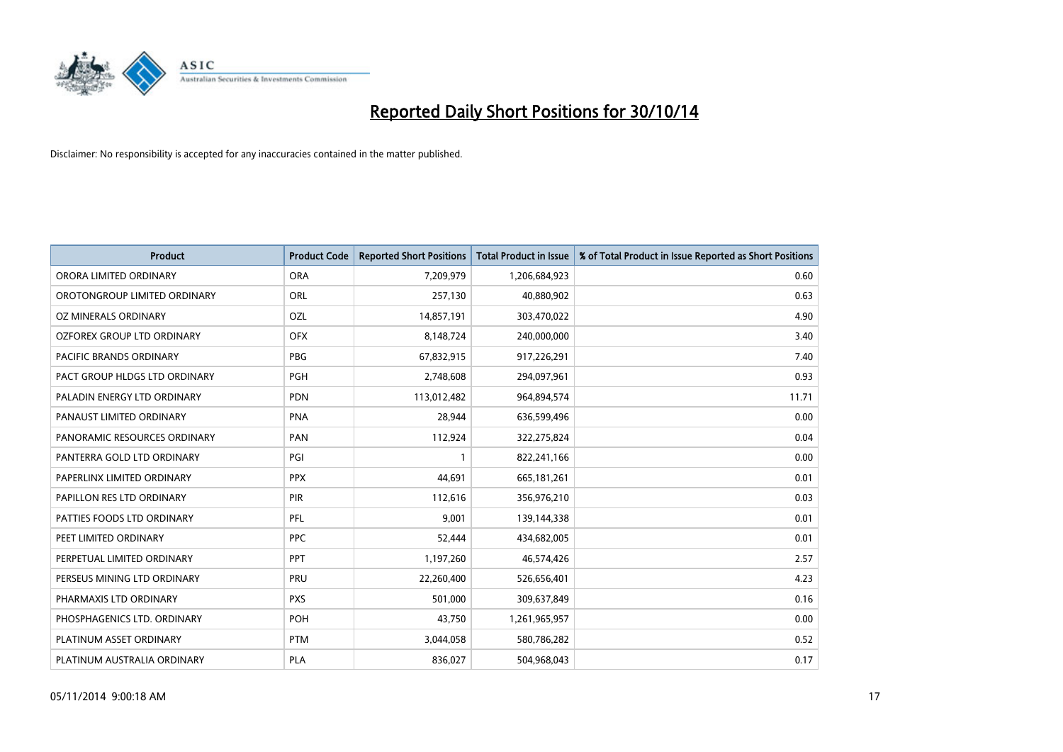

| <b>Product</b>                 | <b>Product Code</b> | <b>Reported Short Positions</b> | <b>Total Product in Issue</b> | % of Total Product in Issue Reported as Short Positions |
|--------------------------------|---------------------|---------------------------------|-------------------------------|---------------------------------------------------------|
| ORORA LIMITED ORDINARY         | <b>ORA</b>          | 7,209,979                       | 1,206,684,923                 | 0.60                                                    |
| OROTONGROUP LIMITED ORDINARY   | ORL                 | 257,130                         | 40,880,902                    | 0.63                                                    |
| OZ MINERALS ORDINARY           | <b>OZL</b>          | 14,857,191                      | 303,470,022                   | 4.90                                                    |
| OZFOREX GROUP LTD ORDINARY     | <b>OFX</b>          | 8,148,724                       | 240,000,000                   | 3.40                                                    |
| <b>PACIFIC BRANDS ORDINARY</b> | <b>PBG</b>          | 67,832,915                      | 917,226,291                   | 7.40                                                    |
| PACT GROUP HLDGS LTD ORDINARY  | <b>PGH</b>          | 2,748,608                       | 294,097,961                   | 0.93                                                    |
| PALADIN ENERGY LTD ORDINARY    | <b>PDN</b>          | 113,012,482                     | 964,894,574                   | 11.71                                                   |
| PANAUST LIMITED ORDINARY       | <b>PNA</b>          | 28,944                          | 636,599,496                   | 0.00                                                    |
| PANORAMIC RESOURCES ORDINARY   | PAN                 | 112,924                         | 322,275,824                   | 0.04                                                    |
| PANTERRA GOLD LTD ORDINARY     | PGI                 | $\mathbf{1}$                    | 822,241,166                   | 0.00                                                    |
| PAPERLINX LIMITED ORDINARY     | <b>PPX</b>          | 44,691                          | 665,181,261                   | 0.01                                                    |
| PAPILLON RES LTD ORDINARY      | <b>PIR</b>          | 112,616                         | 356,976,210                   | 0.03                                                    |
| PATTIES FOODS LTD ORDINARY     | PFL                 | 9,001                           | 139,144,338                   | 0.01                                                    |
| PEET LIMITED ORDINARY          | <b>PPC</b>          | 52,444                          | 434,682,005                   | 0.01                                                    |
| PERPETUAL LIMITED ORDINARY     | <b>PPT</b>          | 1,197,260                       | 46,574,426                    | 2.57                                                    |
| PERSEUS MINING LTD ORDINARY    | PRU                 | 22,260,400                      | 526,656,401                   | 4.23                                                    |
| PHARMAXIS LTD ORDINARY         | <b>PXS</b>          | 501,000                         | 309,637,849                   | 0.16                                                    |
| PHOSPHAGENICS LTD. ORDINARY    | POH                 | 43,750                          | 1,261,965,957                 | 0.00                                                    |
| PLATINUM ASSET ORDINARY        | <b>PTM</b>          | 3,044,058                       | 580,786,282                   | 0.52                                                    |
| PLATINUM AUSTRALIA ORDINARY    | PLA                 | 836,027                         | 504,968,043                   | 0.17                                                    |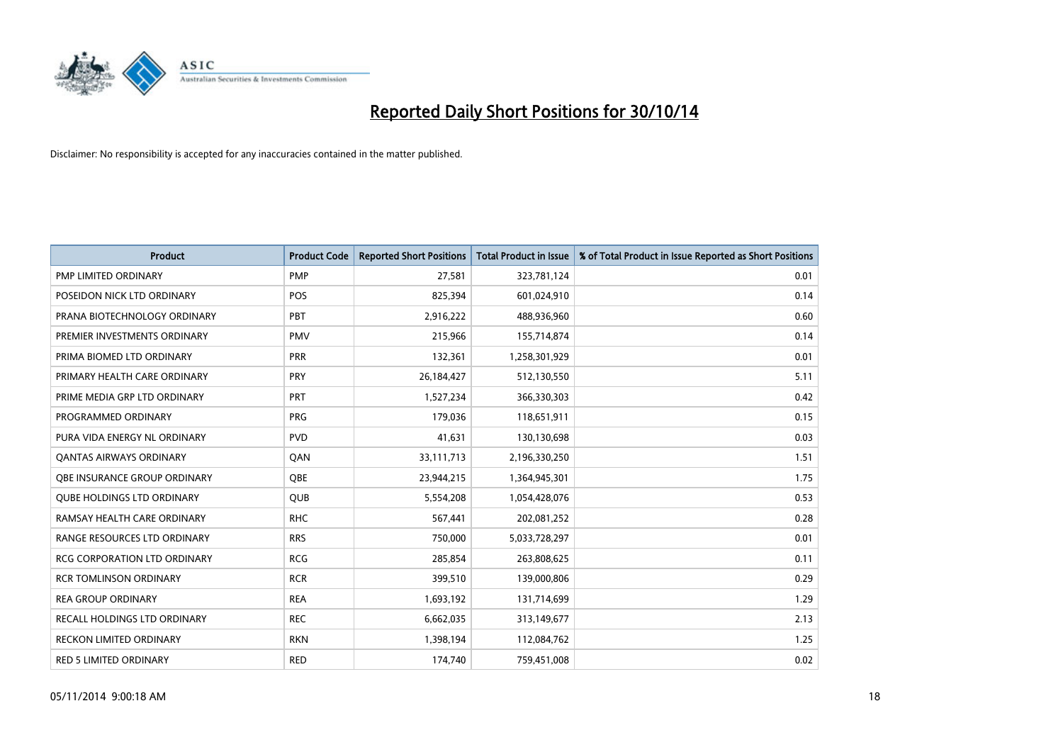

| <b>Product</b>                      | <b>Product Code</b> | <b>Reported Short Positions</b> | <b>Total Product in Issue</b> | % of Total Product in Issue Reported as Short Positions |
|-------------------------------------|---------------------|---------------------------------|-------------------------------|---------------------------------------------------------|
| <b>PMP LIMITED ORDINARY</b>         | <b>PMP</b>          | 27,581                          | 323,781,124                   | 0.01                                                    |
| POSEIDON NICK LTD ORDINARY          | <b>POS</b>          | 825,394                         | 601,024,910                   | 0.14                                                    |
| PRANA BIOTECHNOLOGY ORDINARY        | PBT                 | 2,916,222                       | 488,936,960                   | 0.60                                                    |
| PREMIER INVESTMENTS ORDINARY        | <b>PMV</b>          | 215,966                         | 155,714,874                   | 0.14                                                    |
| PRIMA BIOMED LTD ORDINARY           | <b>PRR</b>          | 132,361                         | 1,258,301,929                 | 0.01                                                    |
| PRIMARY HEALTH CARE ORDINARY        | PRY                 | 26,184,427                      | 512,130,550                   | 5.11                                                    |
| PRIME MEDIA GRP LTD ORDINARY        | <b>PRT</b>          | 1,527,234                       | 366,330,303                   | 0.42                                                    |
| PROGRAMMED ORDINARY                 | <b>PRG</b>          | 179,036                         | 118,651,911                   | 0.15                                                    |
| PURA VIDA ENERGY NL ORDINARY        | <b>PVD</b>          | 41,631                          | 130,130,698                   | 0.03                                                    |
| <b>QANTAS AIRWAYS ORDINARY</b>      | QAN                 | 33,111,713                      | 2,196,330,250                 | 1.51                                                    |
| OBE INSURANCE GROUP ORDINARY        | <b>OBE</b>          | 23,944,215                      | 1,364,945,301                 | 1.75                                                    |
| <b>QUBE HOLDINGS LTD ORDINARY</b>   | QUB                 | 5,554,208                       | 1,054,428,076                 | 0.53                                                    |
| RAMSAY HEALTH CARE ORDINARY         | <b>RHC</b>          | 567,441                         | 202,081,252                   | 0.28                                                    |
| RANGE RESOURCES LTD ORDINARY        | <b>RRS</b>          | 750,000                         | 5,033,728,297                 | 0.01                                                    |
| <b>RCG CORPORATION LTD ORDINARY</b> | <b>RCG</b>          | 285,854                         | 263,808,625                   | 0.11                                                    |
| <b>RCR TOMLINSON ORDINARY</b>       | <b>RCR</b>          | 399,510                         | 139,000,806                   | 0.29                                                    |
| <b>REA GROUP ORDINARY</b>           | <b>REA</b>          | 1,693,192                       | 131,714,699                   | 1.29                                                    |
| RECALL HOLDINGS LTD ORDINARY        | <b>REC</b>          | 6,662,035                       | 313,149,677                   | 2.13                                                    |
| <b>RECKON LIMITED ORDINARY</b>      | <b>RKN</b>          | 1,398,194                       | 112,084,762                   | 1.25                                                    |
| RED 5 LIMITED ORDINARY              | <b>RED</b>          | 174,740                         | 759,451,008                   | 0.02                                                    |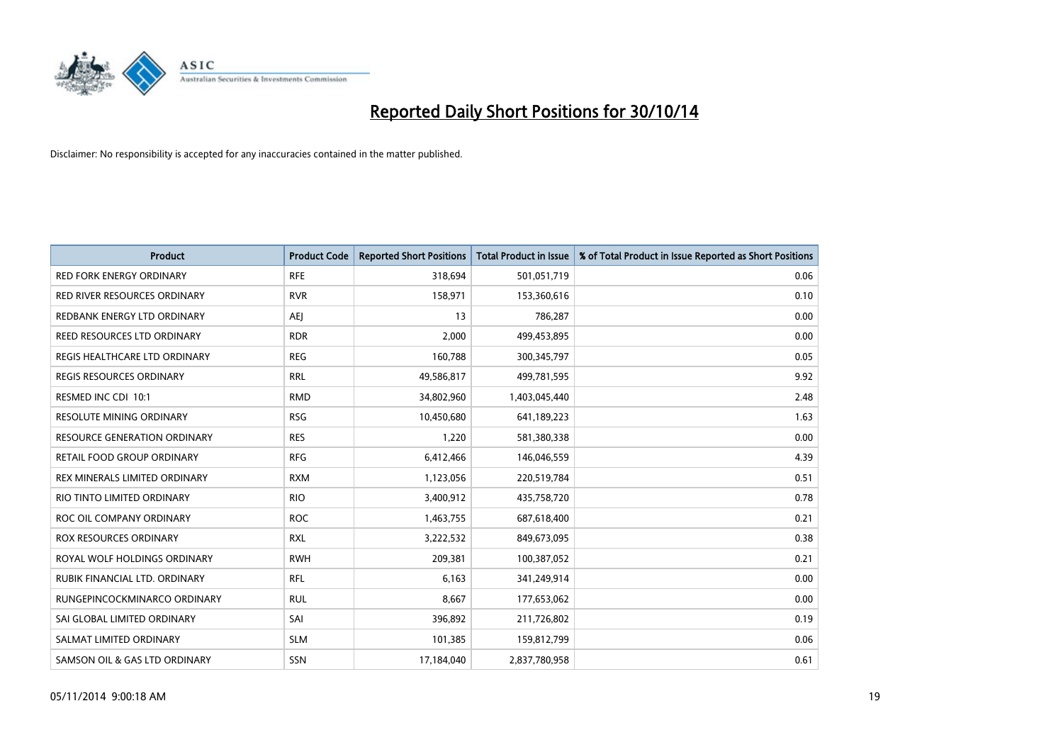

| Product                             | <b>Product Code</b> | <b>Reported Short Positions</b> | <b>Total Product in Issue</b> | % of Total Product in Issue Reported as Short Positions |
|-------------------------------------|---------------------|---------------------------------|-------------------------------|---------------------------------------------------------|
| <b>RED FORK ENERGY ORDINARY</b>     | <b>RFE</b>          | 318,694                         | 501,051,719                   | 0.06                                                    |
| RED RIVER RESOURCES ORDINARY        | <b>RVR</b>          | 158,971                         | 153,360,616                   | 0.10                                                    |
| REDBANK ENERGY LTD ORDINARY         | AEJ                 | 13                              | 786,287                       | 0.00                                                    |
| REED RESOURCES LTD ORDINARY         | <b>RDR</b>          | 2,000                           | 499,453,895                   | 0.00                                                    |
| REGIS HEALTHCARE LTD ORDINARY       | <b>REG</b>          | 160,788                         | 300, 345, 797                 | 0.05                                                    |
| <b>REGIS RESOURCES ORDINARY</b>     | <b>RRL</b>          | 49,586,817                      | 499,781,595                   | 9.92                                                    |
| RESMED INC CDI 10:1                 | <b>RMD</b>          | 34,802,960                      | 1,403,045,440                 | 2.48                                                    |
| RESOLUTE MINING ORDINARY            | <b>RSG</b>          | 10,450,680                      | 641,189,223                   | 1.63                                                    |
| <b>RESOURCE GENERATION ORDINARY</b> | <b>RES</b>          | 1,220                           | 581,380,338                   | 0.00                                                    |
| RETAIL FOOD GROUP ORDINARY          | <b>RFG</b>          | 6,412,466                       | 146,046,559                   | 4.39                                                    |
| REX MINERALS LIMITED ORDINARY       | <b>RXM</b>          | 1,123,056                       | 220,519,784                   | 0.51                                                    |
| RIO TINTO LIMITED ORDINARY          | <b>RIO</b>          | 3,400,912                       | 435,758,720                   | 0.78                                                    |
| ROC OIL COMPANY ORDINARY            | <b>ROC</b>          | 1,463,755                       | 687,618,400                   | 0.21                                                    |
| <b>ROX RESOURCES ORDINARY</b>       | <b>RXL</b>          | 3,222,532                       | 849,673,095                   | 0.38                                                    |
| ROYAL WOLF HOLDINGS ORDINARY        | <b>RWH</b>          | 209,381                         | 100,387,052                   | 0.21                                                    |
| RUBIK FINANCIAL LTD. ORDINARY       | <b>RFL</b>          | 6,163                           | 341,249,914                   | 0.00                                                    |
| RUNGEPINCOCKMINARCO ORDINARY        | <b>RUL</b>          | 8,667                           | 177,653,062                   | 0.00                                                    |
| SAI GLOBAL LIMITED ORDINARY         | SAI                 | 396,892                         | 211,726,802                   | 0.19                                                    |
| SALMAT LIMITED ORDINARY             | <b>SLM</b>          | 101,385                         | 159,812,799                   | 0.06                                                    |
| SAMSON OIL & GAS LTD ORDINARY       | <b>SSN</b>          | 17,184,040                      | 2,837,780,958                 | 0.61                                                    |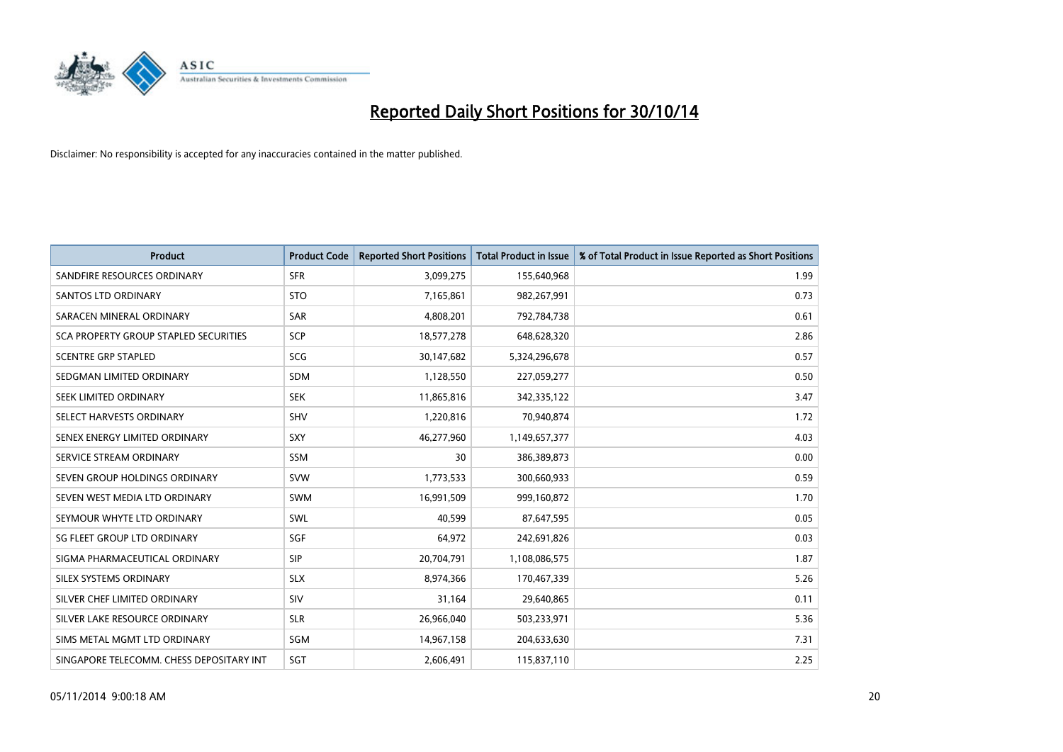

| <b>Product</b>                           | <b>Product Code</b> | <b>Reported Short Positions</b> | <b>Total Product in Issue</b> | % of Total Product in Issue Reported as Short Positions |
|------------------------------------------|---------------------|---------------------------------|-------------------------------|---------------------------------------------------------|
| SANDFIRE RESOURCES ORDINARY              | <b>SFR</b>          | 3,099,275                       | 155,640,968                   | 1.99                                                    |
| SANTOS LTD ORDINARY                      | <b>STO</b>          | 7,165,861                       | 982,267,991                   | 0.73                                                    |
| SARACEN MINERAL ORDINARY                 | <b>SAR</b>          | 4,808,201                       | 792,784,738                   | 0.61                                                    |
| SCA PROPERTY GROUP STAPLED SECURITIES    | <b>SCP</b>          | 18,577,278                      | 648,628,320                   | 2.86                                                    |
| <b>SCENTRE GRP STAPLED</b>               | SCG                 | 30,147,682                      | 5,324,296,678                 | 0.57                                                    |
| SEDGMAN LIMITED ORDINARY                 | <b>SDM</b>          | 1,128,550                       | 227,059,277                   | 0.50                                                    |
| SEEK LIMITED ORDINARY                    | <b>SEK</b>          | 11,865,816                      | 342,335,122                   | 3.47                                                    |
| SELECT HARVESTS ORDINARY                 | <b>SHV</b>          | 1,220,816                       | 70,940,874                    | 1.72                                                    |
| SENEX ENERGY LIMITED ORDINARY            | <b>SXY</b>          | 46,277,960                      | 1,149,657,377                 | 4.03                                                    |
| SERVICE STREAM ORDINARY                  | SSM                 | 30                              | 386,389,873                   | 0.00                                                    |
| SEVEN GROUP HOLDINGS ORDINARY            | <b>SVW</b>          | 1,773,533                       | 300,660,933                   | 0.59                                                    |
| SEVEN WEST MEDIA LTD ORDINARY            | SWM                 | 16,991,509                      | 999,160,872                   | 1.70                                                    |
| SEYMOUR WHYTE LTD ORDINARY               | SWL                 | 40,599                          | 87,647,595                    | 0.05                                                    |
| SG FLEET GROUP LTD ORDINARY              | SGF                 | 64,972                          | 242,691,826                   | 0.03                                                    |
| SIGMA PHARMACEUTICAL ORDINARY            | <b>SIP</b>          | 20,704,791                      | 1,108,086,575                 | 1.87                                                    |
| SILEX SYSTEMS ORDINARY                   | <b>SLX</b>          | 8,974,366                       | 170,467,339                   | 5.26                                                    |
| SILVER CHEF LIMITED ORDINARY             | SIV                 | 31,164                          | 29,640,865                    | 0.11                                                    |
| SILVER LAKE RESOURCE ORDINARY            | <b>SLR</b>          | 26,966,040                      | 503,233,971                   | 5.36                                                    |
| SIMS METAL MGMT LTD ORDINARY             | SGM                 | 14,967,158                      | 204,633,630                   | 7.31                                                    |
| SINGAPORE TELECOMM. CHESS DEPOSITARY INT | SGT                 | 2,606,491                       | 115,837,110                   | 2.25                                                    |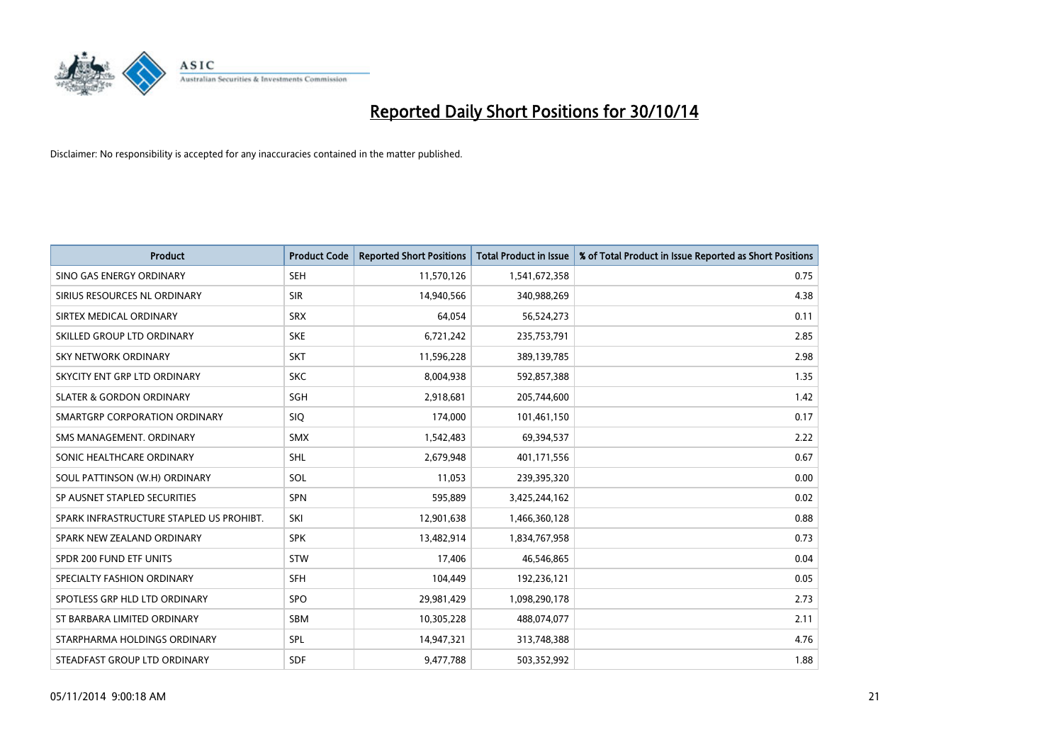

| <b>Product</b>                           | <b>Product Code</b> | <b>Reported Short Positions</b> | <b>Total Product in Issue</b> | % of Total Product in Issue Reported as Short Positions |
|------------------------------------------|---------------------|---------------------------------|-------------------------------|---------------------------------------------------------|
| SINO GAS ENERGY ORDINARY                 | <b>SEH</b>          | 11,570,126                      | 1,541,672,358                 | 0.75                                                    |
| SIRIUS RESOURCES NL ORDINARY             | <b>SIR</b>          | 14,940,566                      | 340,988,269                   | 4.38                                                    |
| SIRTEX MEDICAL ORDINARY                  | <b>SRX</b>          | 64,054                          | 56,524,273                    | 0.11                                                    |
| SKILLED GROUP LTD ORDINARY               | <b>SKE</b>          | 6,721,242                       | 235,753,791                   | 2.85                                                    |
| <b>SKY NETWORK ORDINARY</b>              | <b>SKT</b>          | 11,596,228                      | 389,139,785                   | 2.98                                                    |
| SKYCITY ENT GRP LTD ORDINARY             | <b>SKC</b>          | 8,004,938                       | 592,857,388                   | 1.35                                                    |
| <b>SLATER &amp; GORDON ORDINARY</b>      | SGH                 | 2,918,681                       | 205,744,600                   | 1.42                                                    |
| SMARTGRP CORPORATION ORDINARY            | <b>SIQ</b>          | 174,000                         | 101,461,150                   | 0.17                                                    |
| SMS MANAGEMENT, ORDINARY                 | <b>SMX</b>          | 1,542,483                       | 69,394,537                    | 2.22                                                    |
| SONIC HEALTHCARE ORDINARY                | <b>SHL</b>          | 2,679,948                       | 401,171,556                   | 0.67                                                    |
| SOUL PATTINSON (W.H) ORDINARY            | SOL                 | 11,053                          | 239,395,320                   | 0.00                                                    |
| SP AUSNET STAPLED SECURITIES             | SPN                 | 595,889                         | 3,425,244,162                 | 0.02                                                    |
| SPARK INFRASTRUCTURE STAPLED US PROHIBT. | SKI                 | 12,901,638                      | 1,466,360,128                 | 0.88                                                    |
| SPARK NEW ZEALAND ORDINARY               | <b>SPK</b>          | 13,482,914                      | 1,834,767,958                 | 0.73                                                    |
| SPDR 200 FUND ETF UNITS                  | <b>STW</b>          | 17,406                          | 46,546,865                    | 0.04                                                    |
| SPECIALTY FASHION ORDINARY               | <b>SFH</b>          | 104,449                         | 192,236,121                   | 0.05                                                    |
| SPOTLESS GRP HLD LTD ORDINARY            | <b>SPO</b>          | 29,981,429                      | 1,098,290,178                 | 2.73                                                    |
| ST BARBARA LIMITED ORDINARY              | <b>SBM</b>          | 10,305,228                      | 488,074,077                   | 2.11                                                    |
| STARPHARMA HOLDINGS ORDINARY             | SPL                 | 14,947,321                      | 313,748,388                   | 4.76                                                    |
| STEADFAST GROUP LTD ORDINARY             | <b>SDF</b>          | 9,477,788                       | 503,352,992                   | 1.88                                                    |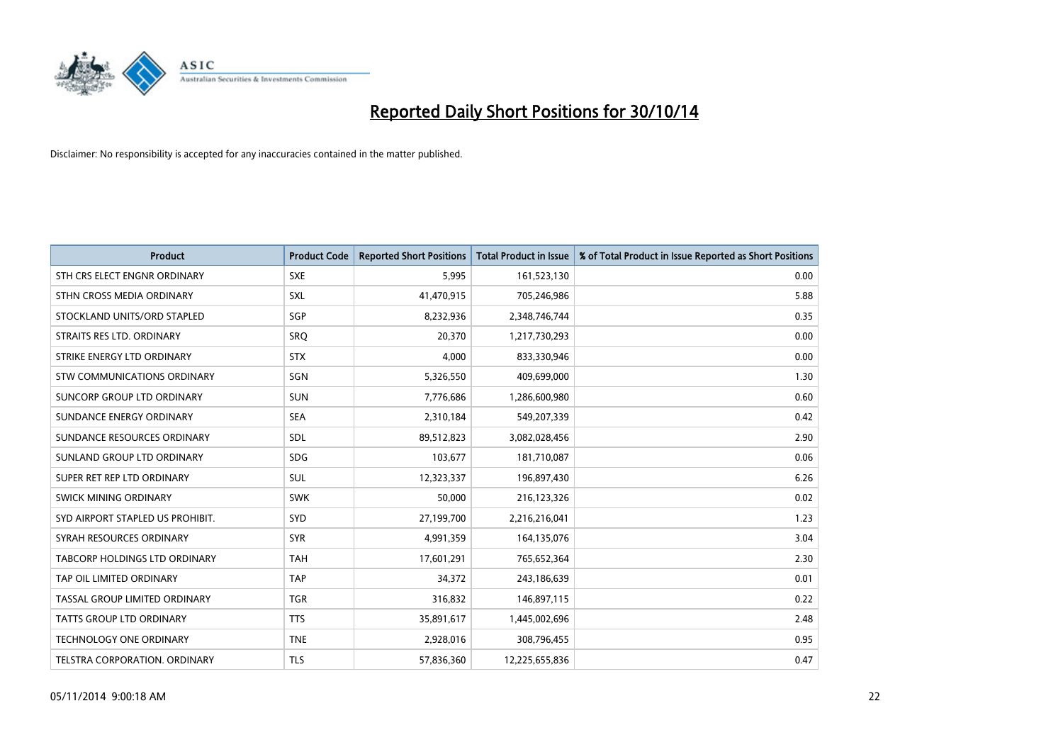

| <b>Product</b>                       | <b>Product Code</b> | <b>Reported Short Positions</b> | <b>Total Product in Issue</b> | % of Total Product in Issue Reported as Short Positions |
|--------------------------------------|---------------------|---------------------------------|-------------------------------|---------------------------------------------------------|
| STH CRS ELECT ENGNR ORDINARY         | <b>SXE</b>          | 5,995                           | 161,523,130                   | 0.00                                                    |
| STHN CROSS MEDIA ORDINARY            | SXL                 | 41,470,915                      | 705,246,986                   | 5.88                                                    |
| STOCKLAND UNITS/ORD STAPLED          | SGP                 | 8,232,936                       | 2,348,746,744                 | 0.35                                                    |
| STRAITS RES LTD. ORDINARY            | <b>SRO</b>          | 20,370                          | 1,217,730,293                 | 0.00                                                    |
| STRIKE ENERGY LTD ORDINARY           | <b>STX</b>          | 4,000                           | 833,330,946                   | 0.00                                                    |
| STW COMMUNICATIONS ORDINARY          | SGN                 | 5,326,550                       | 409,699,000                   | 1.30                                                    |
| SUNCORP GROUP LTD ORDINARY           | <b>SUN</b>          | 7,776,686                       | 1,286,600,980                 | 0.60                                                    |
| SUNDANCE ENERGY ORDINARY             | <b>SEA</b>          | 2,310,184                       | 549,207,339                   | 0.42                                                    |
| SUNDANCE RESOURCES ORDINARY          | SDL                 | 89,512,823                      | 3,082,028,456                 | 2.90                                                    |
| SUNLAND GROUP LTD ORDINARY           | <b>SDG</b>          | 103,677                         | 181,710,087                   | 0.06                                                    |
| SUPER RET REP LTD ORDINARY           | <b>SUL</b>          | 12,323,337                      | 196,897,430                   | 6.26                                                    |
| <b>SWICK MINING ORDINARY</b>         | <b>SWK</b>          | 50,000                          | 216,123,326                   | 0.02                                                    |
| SYD AIRPORT STAPLED US PROHIBIT.     | <b>SYD</b>          | 27,199,700                      | 2,216,216,041                 | 1.23                                                    |
| SYRAH RESOURCES ORDINARY             | <b>SYR</b>          | 4,991,359                       | 164,135,076                   | 3.04                                                    |
| <b>TABCORP HOLDINGS LTD ORDINARY</b> | <b>TAH</b>          | 17,601,291                      | 765,652,364                   | 2.30                                                    |
| TAP OIL LIMITED ORDINARY             | <b>TAP</b>          | 34,372                          | 243,186,639                   | 0.01                                                    |
| TASSAL GROUP LIMITED ORDINARY        | <b>TGR</b>          | 316,832                         | 146,897,115                   | 0.22                                                    |
| TATTS GROUP LTD ORDINARY             | <b>TTS</b>          | 35,891,617                      | 1,445,002,696                 | 2.48                                                    |
| <b>TECHNOLOGY ONE ORDINARY</b>       | <b>TNE</b>          | 2,928,016                       | 308,796,455                   | 0.95                                                    |
| TELSTRA CORPORATION, ORDINARY        | <b>TLS</b>          | 57,836,360                      | 12,225,655,836                | 0.47                                                    |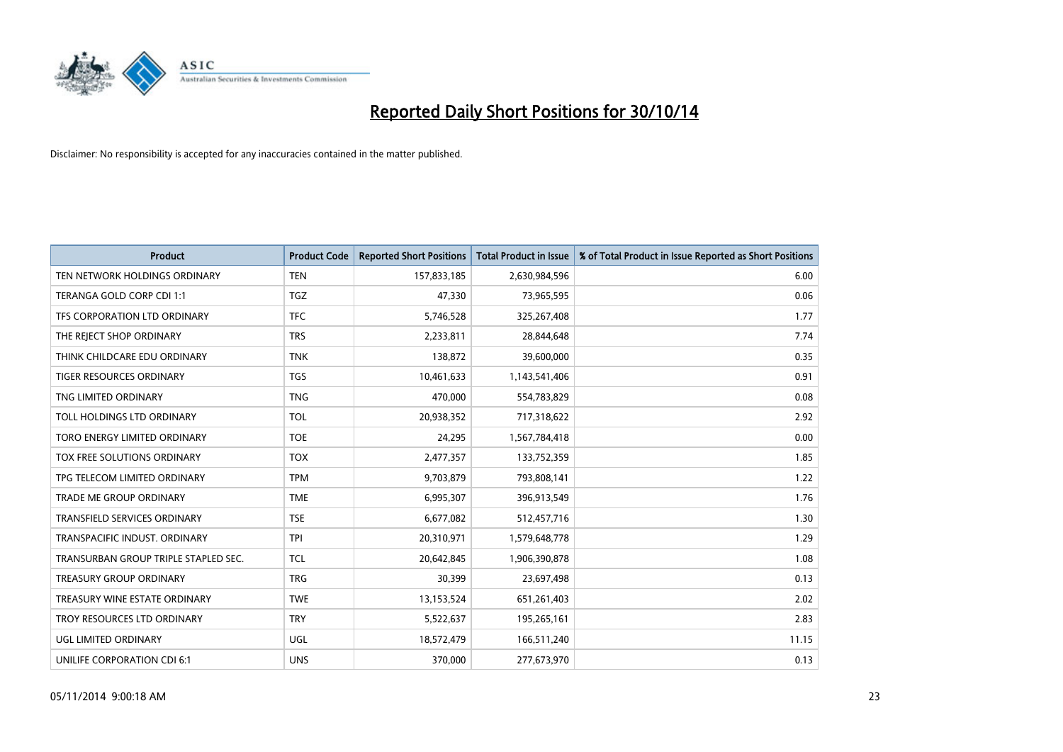

| <b>Product</b>                       | <b>Product Code</b> | <b>Reported Short Positions</b> | <b>Total Product in Issue</b> | % of Total Product in Issue Reported as Short Positions |
|--------------------------------------|---------------------|---------------------------------|-------------------------------|---------------------------------------------------------|
| TEN NETWORK HOLDINGS ORDINARY        | <b>TEN</b>          | 157,833,185                     | 2,630,984,596                 | 6.00                                                    |
| TERANGA GOLD CORP CDI 1:1            | <b>TGZ</b>          | 47,330                          | 73,965,595                    | 0.06                                                    |
| TFS CORPORATION LTD ORDINARY         | <b>TFC</b>          | 5,746,528                       | 325,267,408                   | 1.77                                                    |
| THE REJECT SHOP ORDINARY             | <b>TRS</b>          | 2,233,811                       | 28,844,648                    | 7.74                                                    |
| THINK CHILDCARE EDU ORDINARY         | <b>TNK</b>          | 138,872                         | 39,600,000                    | 0.35                                                    |
| <b>TIGER RESOURCES ORDINARY</b>      | <b>TGS</b>          | 10,461,633                      | 1,143,541,406                 | 0.91                                                    |
| TNG LIMITED ORDINARY                 | <b>TNG</b>          | 470,000                         | 554,783,829                   | 0.08                                                    |
| TOLL HOLDINGS LTD ORDINARY           | <b>TOL</b>          | 20,938,352                      | 717,318,622                   | 2.92                                                    |
| TORO ENERGY LIMITED ORDINARY         | <b>TOE</b>          | 24,295                          | 1,567,784,418                 | 0.00                                                    |
| TOX FREE SOLUTIONS ORDINARY          | <b>TOX</b>          | 2,477,357                       | 133,752,359                   | 1.85                                                    |
| TPG TELECOM LIMITED ORDINARY         | <b>TPM</b>          | 9,703,879                       | 793,808,141                   | 1.22                                                    |
| <b>TRADE ME GROUP ORDINARY</b>       | <b>TME</b>          | 6,995,307                       | 396,913,549                   | 1.76                                                    |
| TRANSFIELD SERVICES ORDINARY         | <b>TSE</b>          | 6,677,082                       | 512,457,716                   | 1.30                                                    |
| TRANSPACIFIC INDUST, ORDINARY        | <b>TPI</b>          | 20,310,971                      | 1,579,648,778                 | 1.29                                                    |
| TRANSURBAN GROUP TRIPLE STAPLED SEC. | <b>TCL</b>          | 20,642,845                      | 1,906,390,878                 | 1.08                                                    |
| <b>TREASURY GROUP ORDINARY</b>       | <b>TRG</b>          | 30,399                          | 23,697,498                    | 0.13                                                    |
| TREASURY WINE ESTATE ORDINARY        | <b>TWE</b>          | 13,153,524                      | 651,261,403                   | 2.02                                                    |
| TROY RESOURCES LTD ORDINARY          | <b>TRY</b>          | 5,522,637                       | 195,265,161                   | 2.83                                                    |
| <b>UGL LIMITED ORDINARY</b>          | UGL                 | 18,572,479                      | 166,511,240                   | 11.15                                                   |
| UNILIFE CORPORATION CDI 6:1          | <b>UNS</b>          | 370,000                         | 277,673,970                   | 0.13                                                    |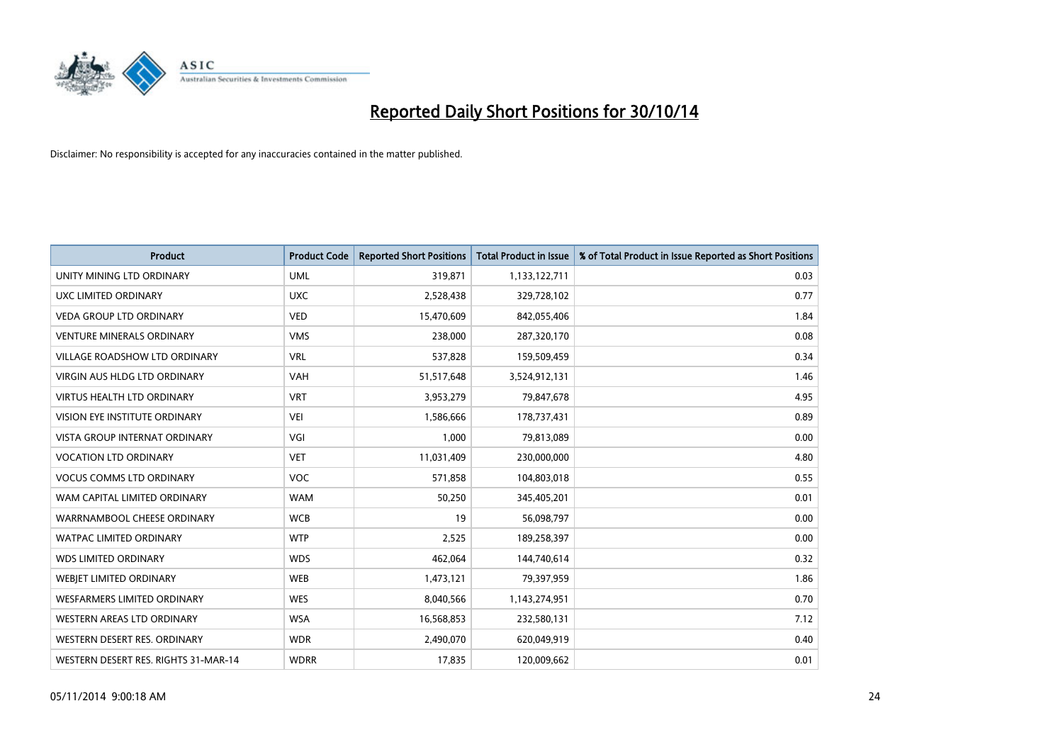

| <b>Product</b>                       | <b>Product Code</b> | <b>Reported Short Positions</b> | <b>Total Product in Issue</b> | % of Total Product in Issue Reported as Short Positions |
|--------------------------------------|---------------------|---------------------------------|-------------------------------|---------------------------------------------------------|
| UNITY MINING LTD ORDINARY            | <b>UML</b>          | 319,871                         | 1,133,122,711                 | 0.03                                                    |
| UXC LIMITED ORDINARY                 | <b>UXC</b>          | 2,528,438                       | 329,728,102                   | 0.77                                                    |
| <b>VEDA GROUP LTD ORDINARY</b>       | <b>VED</b>          | 15,470,609                      | 842,055,406                   | 1.84                                                    |
| <b>VENTURE MINERALS ORDINARY</b>     | <b>VMS</b>          | 238,000                         | 287,320,170                   | 0.08                                                    |
| <b>VILLAGE ROADSHOW LTD ORDINARY</b> | <b>VRL</b>          | 537,828                         | 159,509,459                   | 0.34                                                    |
| <b>VIRGIN AUS HLDG LTD ORDINARY</b>  | <b>VAH</b>          | 51,517,648                      | 3,524,912,131                 | 1.46                                                    |
| <b>VIRTUS HEALTH LTD ORDINARY</b>    | <b>VRT</b>          | 3,953,279                       | 79,847,678                    | 4.95                                                    |
| VISION EYE INSTITUTE ORDINARY        | <b>VEI</b>          | 1,586,666                       | 178,737,431                   | 0.89                                                    |
| VISTA GROUP INTERNAT ORDINARY        | VGI                 | 1,000                           | 79,813,089                    | 0.00                                                    |
| <b>VOCATION LTD ORDINARY</b>         | <b>VET</b>          | 11,031,409                      | 230,000,000                   | 4.80                                                    |
| <b>VOCUS COMMS LTD ORDINARY</b>      | <b>VOC</b>          | 571,858                         | 104,803,018                   | 0.55                                                    |
| WAM CAPITAL LIMITED ORDINARY         | <b>WAM</b>          | 50,250                          | 345,405,201                   | 0.01                                                    |
| WARRNAMBOOL CHEESE ORDINARY          | <b>WCB</b>          | 19                              | 56,098,797                    | 0.00                                                    |
| <b>WATPAC LIMITED ORDINARY</b>       | <b>WTP</b>          | 2,525                           | 189,258,397                   | 0.00                                                    |
| <b>WDS LIMITED ORDINARY</b>          | <b>WDS</b>          | 462,064                         | 144,740,614                   | 0.32                                                    |
| WEBJET LIMITED ORDINARY              | <b>WEB</b>          | 1,473,121                       | 79,397,959                    | 1.86                                                    |
| <b>WESFARMERS LIMITED ORDINARY</b>   | <b>WES</b>          | 8,040,566                       | 1,143,274,951                 | 0.70                                                    |
| WESTERN AREAS LTD ORDINARY           | <b>WSA</b>          | 16,568,853                      | 232,580,131                   | 7.12                                                    |
| WESTERN DESERT RES. ORDINARY         | <b>WDR</b>          | 2,490,070                       | 620,049,919                   | 0.40                                                    |
| WESTERN DESERT RES. RIGHTS 31-MAR-14 | <b>WDRR</b>         | 17,835                          | 120,009,662                   | 0.01                                                    |